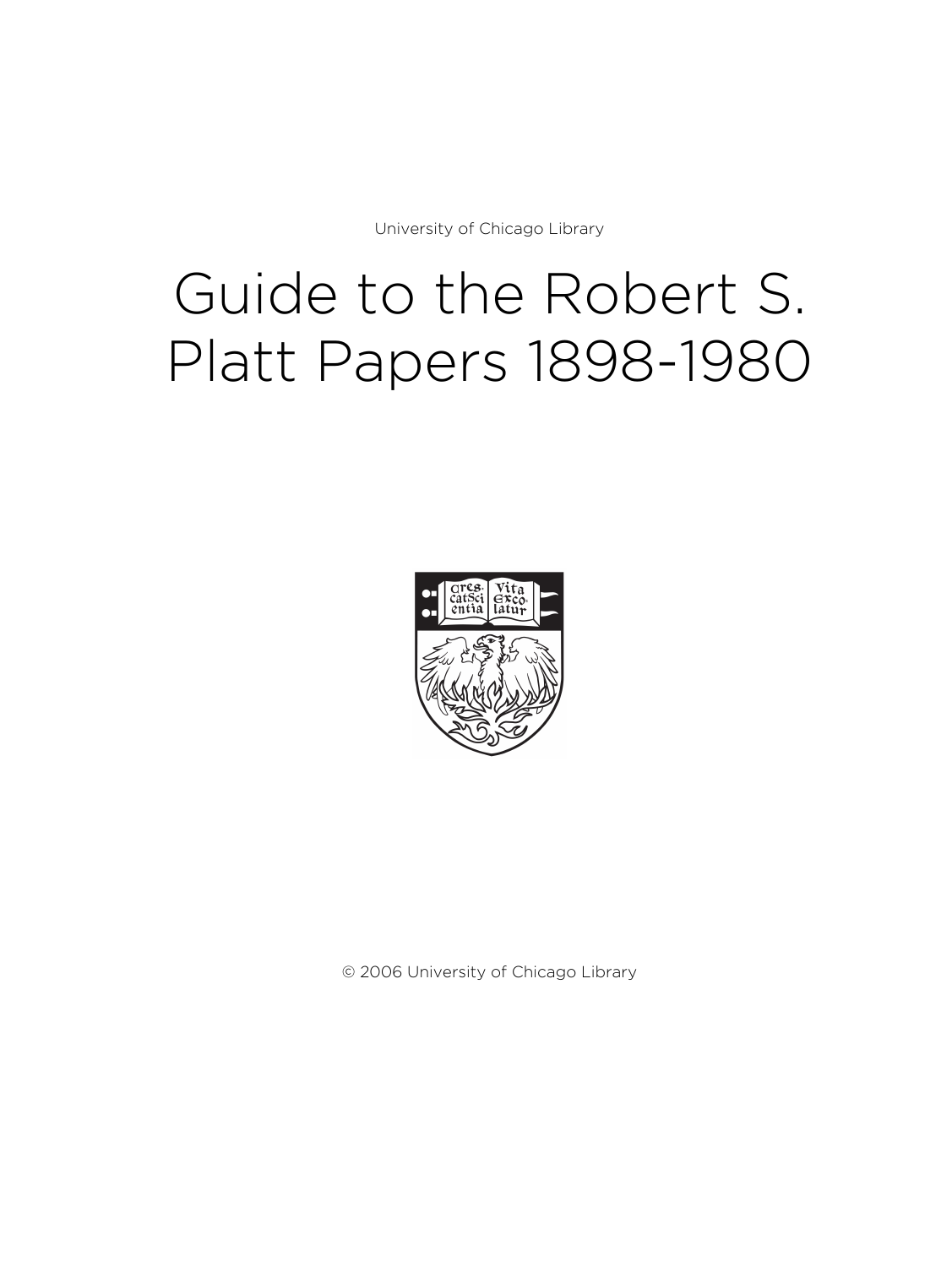University of Chicago Library

# Guide to the Robert S. Platt Papers 1898-1980



© 2006 University of Chicago Library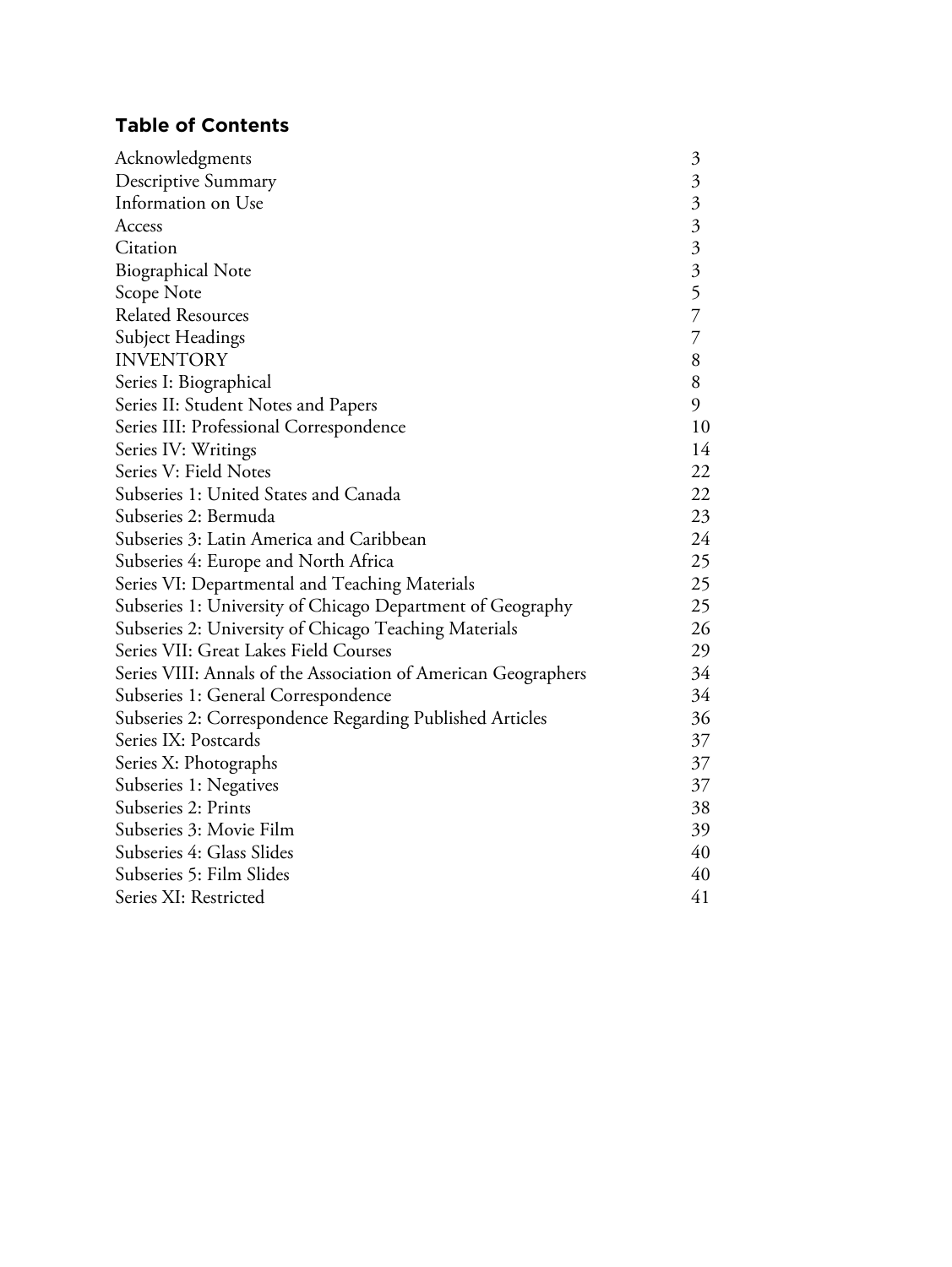# **Table of Contents**

| Acknowledgments                                                | $\mathfrak{Z}$            |
|----------------------------------------------------------------|---------------------------|
| Descriptive Summary                                            | $\mathfrak{Z}$            |
| Information on Use                                             | $\mathfrak{Z}$            |
| Access                                                         | $\mathfrak{Z}$            |
| Citation                                                       | $\overline{\mathfrak{Z}}$ |
| <b>Biographical Note</b>                                       | $\overline{\mathfrak{Z}}$ |
| Scope Note                                                     | 5                         |
| <b>Related Resources</b>                                       | $\overline{7}$            |
| Subject Headings                                               | $\overline{7}$            |
| <b>INVENTORY</b>                                               | 8                         |
| Series I: Biographical                                         | 8                         |
| Series II: Student Notes and Papers                            | 9                         |
| Series III: Professional Correspondence                        | 10                        |
| Series IV: Writings                                            | 14                        |
| Series V: Field Notes                                          | 22                        |
| Subseries 1: United States and Canada                          | 22                        |
| Subseries 2: Bermuda                                           | 23                        |
| Subseries 3: Latin America and Caribbean                       | 24                        |
| Subseries 4: Europe and North Africa                           | 25                        |
| Series VI: Departmental and Teaching Materials                 | 25                        |
| Subseries 1: University of Chicago Department of Geography     | 25                        |
| Subseries 2: University of Chicago Teaching Materials          |                           |
| Series VII: Great Lakes Field Courses                          | 29                        |
| Series VIII: Annals of the Association of American Geographers | 34                        |
| Subseries 1: General Correspondence                            | 34                        |
| Subseries 2: Correspondence Regarding Published Articles       | 36                        |
| Series IX: Postcards                                           | 37                        |
| Series X: Photographs                                          | 37                        |
| Subseries 1: Negatives                                         | 37                        |
| Subseries 2: Prints                                            | 38                        |
| Subseries 3: Movie Film                                        | 39                        |
| Subseries 4: Glass Slides                                      | 40                        |
| Subseries 5: Film Slides                                       | 40                        |
| Series XI: Restricted                                          | 41                        |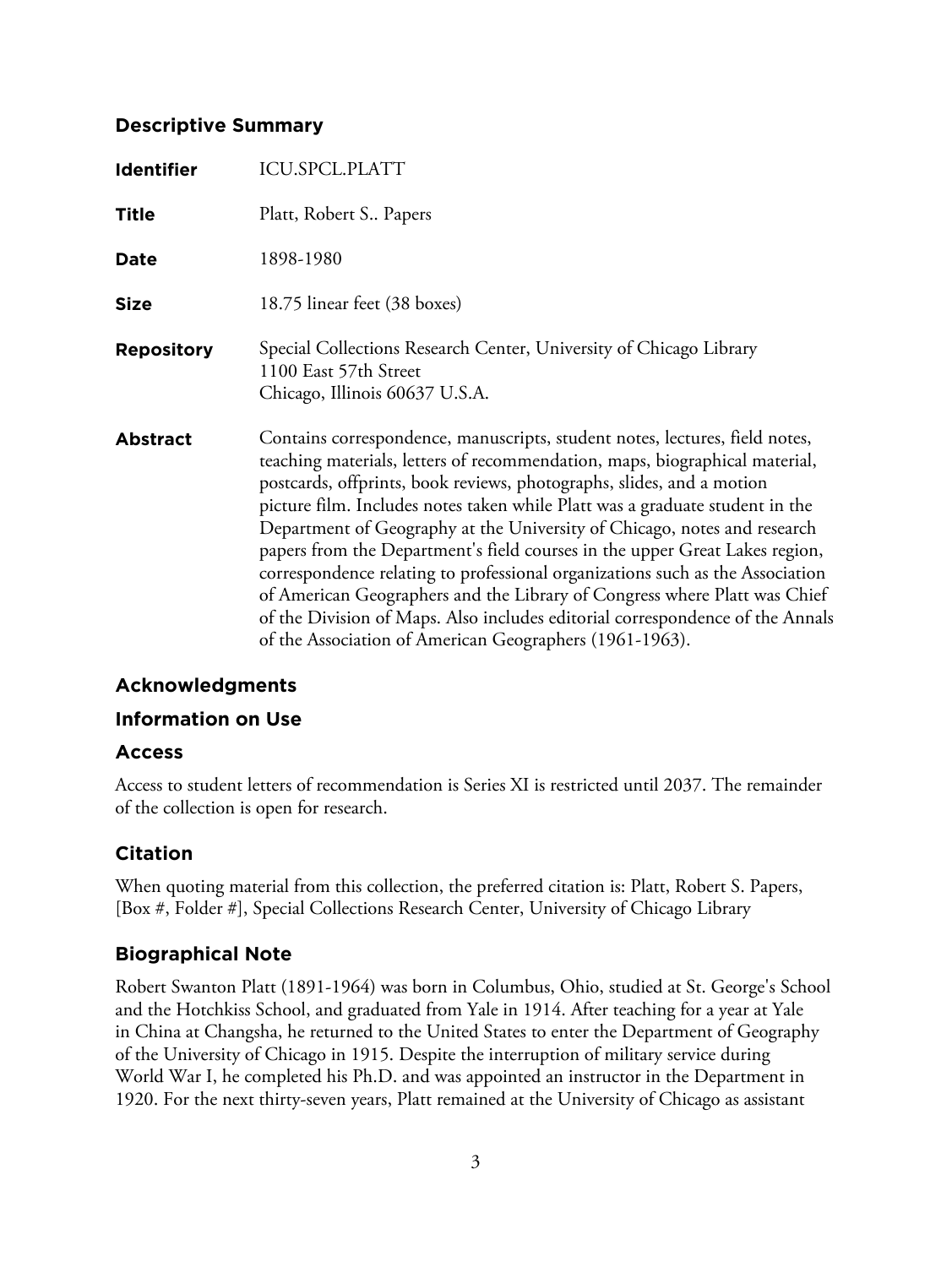# **Descriptive Summary**

| <b>Identifier</b> | <b>ICU.SPCL.PLATT</b>                                                                                                                                                                                                                                                                                                                                                                                                                                                                                                                                                                                                                                                                                                                                                                    |
|-------------------|------------------------------------------------------------------------------------------------------------------------------------------------------------------------------------------------------------------------------------------------------------------------------------------------------------------------------------------------------------------------------------------------------------------------------------------------------------------------------------------------------------------------------------------------------------------------------------------------------------------------------------------------------------------------------------------------------------------------------------------------------------------------------------------|
| <b>Title</b>      | Platt, Robert S., Papers                                                                                                                                                                                                                                                                                                                                                                                                                                                                                                                                                                                                                                                                                                                                                                 |
| Date              | 1898-1980                                                                                                                                                                                                                                                                                                                                                                                                                                                                                                                                                                                                                                                                                                                                                                                |
| <b>Size</b>       | 18.75 linear feet (38 boxes)                                                                                                                                                                                                                                                                                                                                                                                                                                                                                                                                                                                                                                                                                                                                                             |
| <b>Repository</b> | Special Collections Research Center, University of Chicago Library<br>1100 East 57th Street<br>Chicago, Illinois 60637 U.S.A.                                                                                                                                                                                                                                                                                                                                                                                                                                                                                                                                                                                                                                                            |
| <b>Abstract</b>   | Contains correspondence, manuscripts, student notes, lectures, field notes,<br>teaching materials, letters of recommendation, maps, biographical material,<br>postcards, offprints, book reviews, photographs, slides, and a motion<br>picture film. Includes notes taken while Platt was a graduate student in the<br>Department of Geography at the University of Chicago, notes and research<br>papers from the Department's field courses in the upper Great Lakes region,<br>correspondence relating to professional organizations such as the Association<br>of American Geographers and the Library of Congress where Platt was Chief<br>of the Division of Maps. Also includes editorial correspondence of the Annals<br>of the Association of American Geographers (1961-1963). |

# **Acknowledgments**

# **Information on Use**

# **Access**

Access to student letters of recommendation is Series XI is restricted until 2037. The remainder of the collection is open for research.

# **Citation**

When quoting material from this collection, the preferred citation is: Platt, Robert S. Papers, [Box #, Folder #], Special Collections Research Center, University of Chicago Library

# **Biographical Note**

Robert Swanton Platt (1891-1964) was born in Columbus, Ohio, studied at St. George's School and the Hotchkiss School, and graduated from Yale in 1914. After teaching for a year at Yale in China at Changsha, he returned to the United States to enter the Department of Geography of the University of Chicago in 1915. Despite the interruption of military service during World War I, he completed his Ph.D. and was appointed an instructor in the Department in 1920. For the next thirty-seven years, Platt remained at the University of Chicago as assistant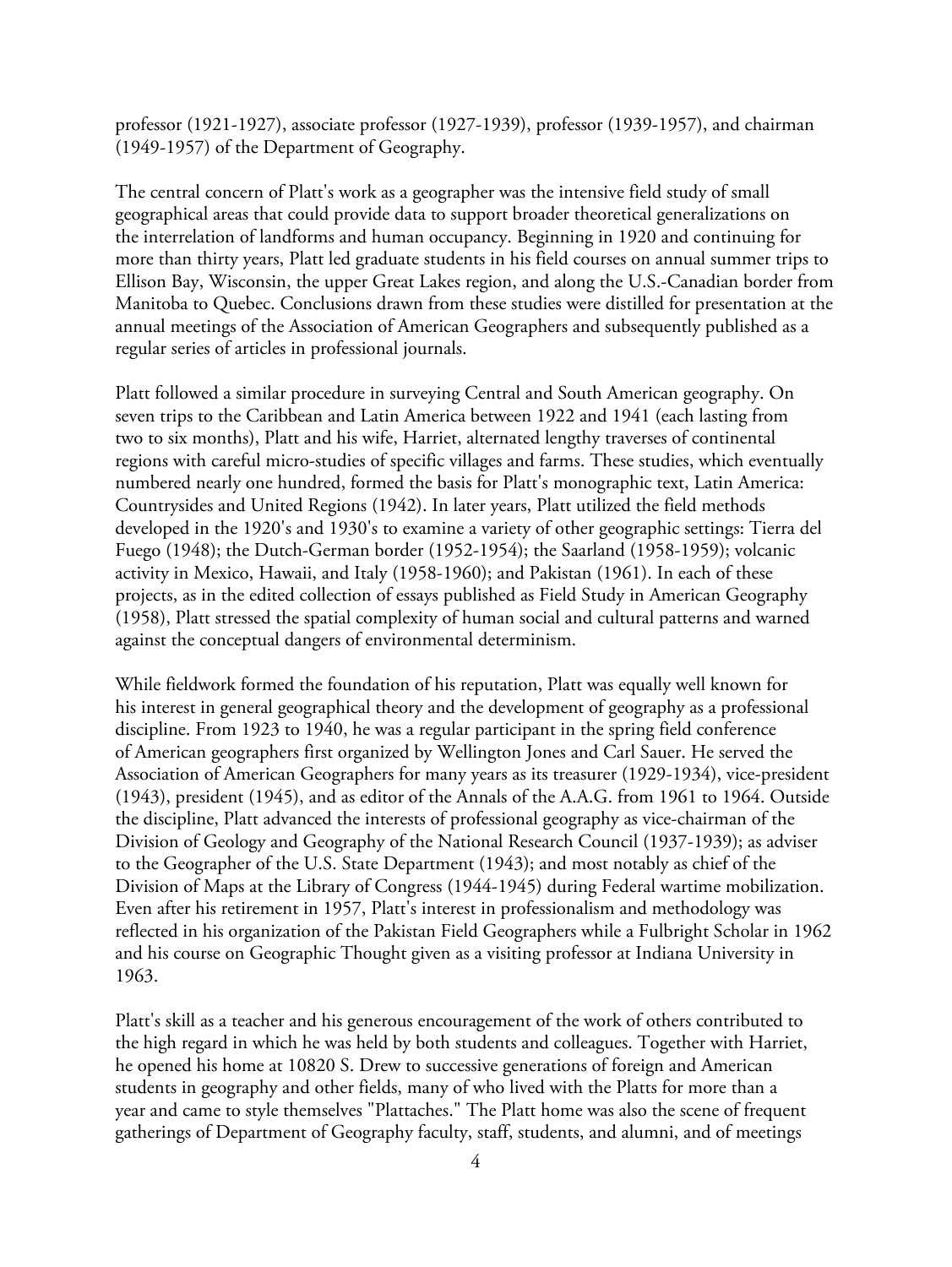professor (1921-1927), associate professor (1927-1939), professor (1939-1957), and chairman (1949-1957) of the Department of Geography.

The central concern of Platt's work as a geographer was the intensive field study of small geographical areas that could provide data to support broader theoretical generalizations on the interrelation of landforms and human occupancy. Beginning in 1920 and continuing for more than thirty years, Platt led graduate students in his field courses on annual summer trips to Ellison Bay, Wisconsin, the upper Great Lakes region, and along the U.S.-Canadian border from Manitoba to Quebec. Conclusions drawn from these studies were distilled for presentation at the annual meetings of the Association of American Geographers and subsequently published as a regular series of articles in professional journals.

Platt followed a similar procedure in surveying Central and South American geography. On seven trips to the Caribbean and Latin America between 1922 and 1941 (each lasting from two to six months), Platt and his wife, Harriet, alternated lengthy traverses of continental regions with careful micro-studies of specific villages and farms. These studies, which eventually numbered nearly one hundred, formed the basis for Platt's monographic text, Latin America: Countrysides and United Regions (1942). In later years, Platt utilized the field methods developed in the 1920's and 1930's to examine a variety of other geographic settings: Tierra del Fuego (1948); the Dutch-German border (1952-1954); the Saarland (1958-1959); volcanic activity in Mexico, Hawaii, and Italy (1958-1960); and Pakistan (1961). In each of these projects, as in the edited collection of essays published as Field Study in American Geography (1958), Platt stressed the spatial complexity of human social and cultural patterns and warned against the conceptual dangers of environmental determinism.

While fieldwork formed the foundation of his reputation, Platt was equally well known for his interest in general geographical theory and the development of geography as a professional discipline. From 1923 to 1940, he was a regular participant in the spring field conference of American geographers first organized by Wellington Jones and Carl Sauer. He served the Association of American Geographers for many years as its treasurer (1929-1934), vice-president (1943), president (1945), and as editor of the Annals of the A.A.G. from 1961 to 1964. Outside the discipline, Platt advanced the interests of professional geography as vice-chairman of the Division of Geology and Geography of the National Research Council (1937-1939); as adviser to the Geographer of the U.S. State Department (1943); and most notably as chief of the Division of Maps at the Library of Congress (1944-1945) during Federal wartime mobilization. Even after his retirement in 1957, Platt's interest in professionalism and methodology was reflected in his organization of the Pakistan Field Geographers while a Fulbright Scholar in 1962 and his course on Geographic Thought given as a visiting professor at Indiana University in 1963.

Platt's skill as a teacher and his generous encouragement of the work of others contributed to the high regard in which he was held by both students and colleagues. Together with Harriet, he opened his home at 10820 S. Drew to successive generations of foreign and American students in geography and other fields, many of who lived with the Platts for more than a year and came to style themselves "Plattaches." The Platt home was also the scene of frequent gatherings of Department of Geography faculty, staff, students, and alumni, and of meetings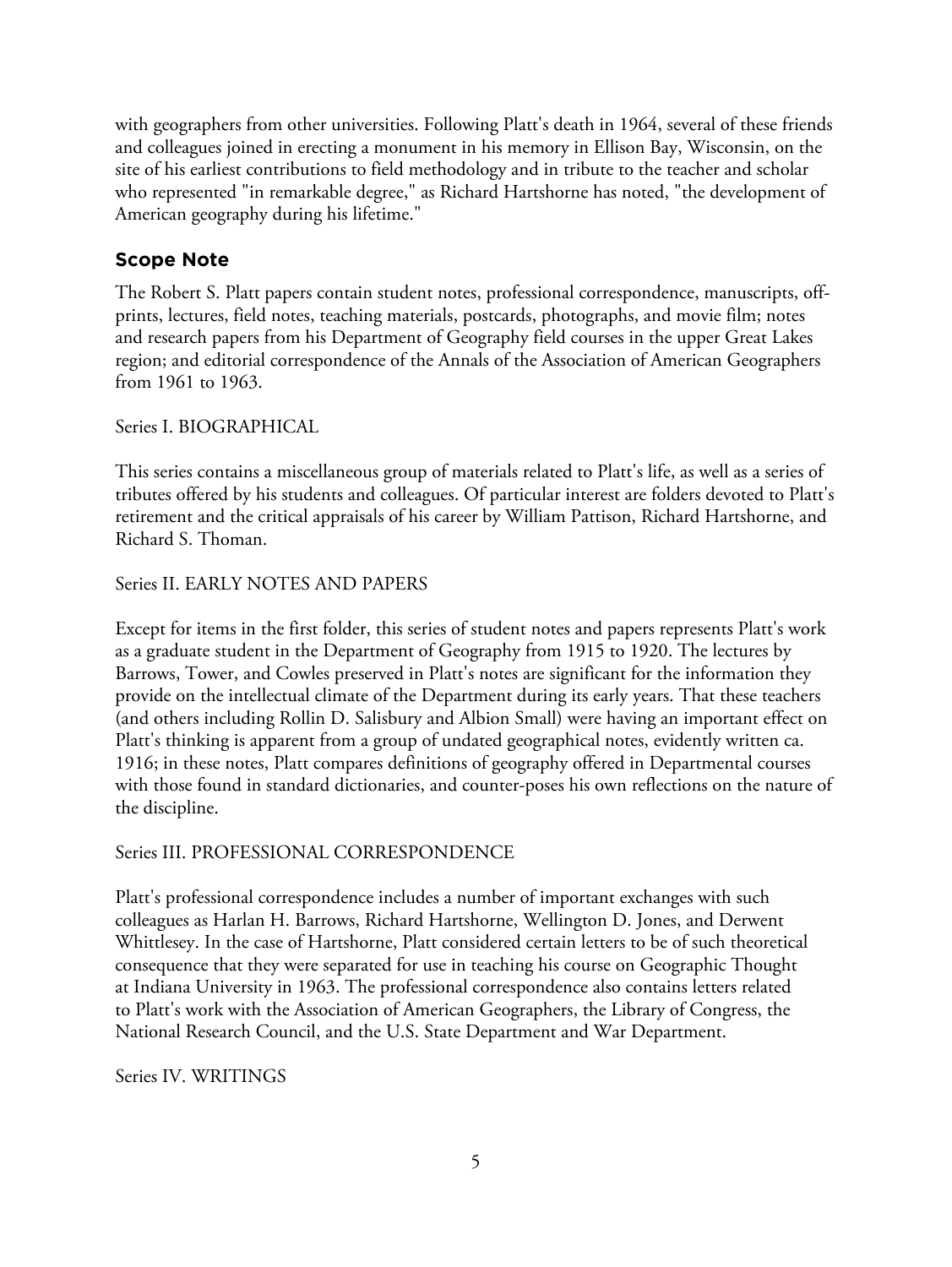with geographers from other universities. Following Platt's death in 1964, several of these friends and colleagues joined in erecting a monument in his memory in Ellison Bay, Wisconsin, on the site of his earliest contributions to field methodology and in tribute to the teacher and scholar who represented "in remarkable degree," as Richard Hartshorne has noted, "the development of American geography during his lifetime."

# **Scope Note**

The Robert S. Platt papers contain student notes, professional correspondence, manuscripts, offprints, lectures, field notes, teaching materials, postcards, photographs, and movie film; notes and research papers from his Department of Geography field courses in the upper Great Lakes region; and editorial correspondence of the Annals of the Association of American Geographers from 1961 to 1963.

# Series I. BIOGRAPHICAL

This series contains a miscellaneous group of materials related to Platt's life, as well as a series of tributes offered by his students and colleagues. Of particular interest are folders devoted to Platt's retirement and the critical appraisals of his career by William Pattison, Richard Hartshorne, and Richard S. Thoman.

# Series II. EARLY NOTES AND PAPERS

Except for items in the first folder, this series of student notes and papers represents Platt's work as a graduate student in the Department of Geography from 1915 to 1920. The lectures by Barrows, Tower, and Cowles preserved in Platt's notes are significant for the information they provide on the intellectual climate of the Department during its early years. That these teachers (and others including Rollin D. Salisbury and Albion Small) were having an important effect on Platt's thinking is apparent from a group of undated geographical notes, evidently written ca. 1916; in these notes, Platt compares definitions of geography offered in Departmental courses with those found in standard dictionaries, and counter-poses his own reflections on the nature of the discipline.

# Series III. PROFESSIONAL CORRESPONDENCE

Platt's professional correspondence includes a number of important exchanges with such colleagues as Harlan H. Barrows, Richard Hartshorne, Wellington D. Jones, and Derwent Whittlesey. In the case of Hartshorne, Platt considered certain letters to be of such theoretical consequence that they were separated for use in teaching his course on Geographic Thought at Indiana University in 1963. The professional correspondence also contains letters related to Platt's work with the Association of American Geographers, the Library of Congress, the National Research Council, and the U.S. State Department and War Department.

#### Series IV. WRITINGS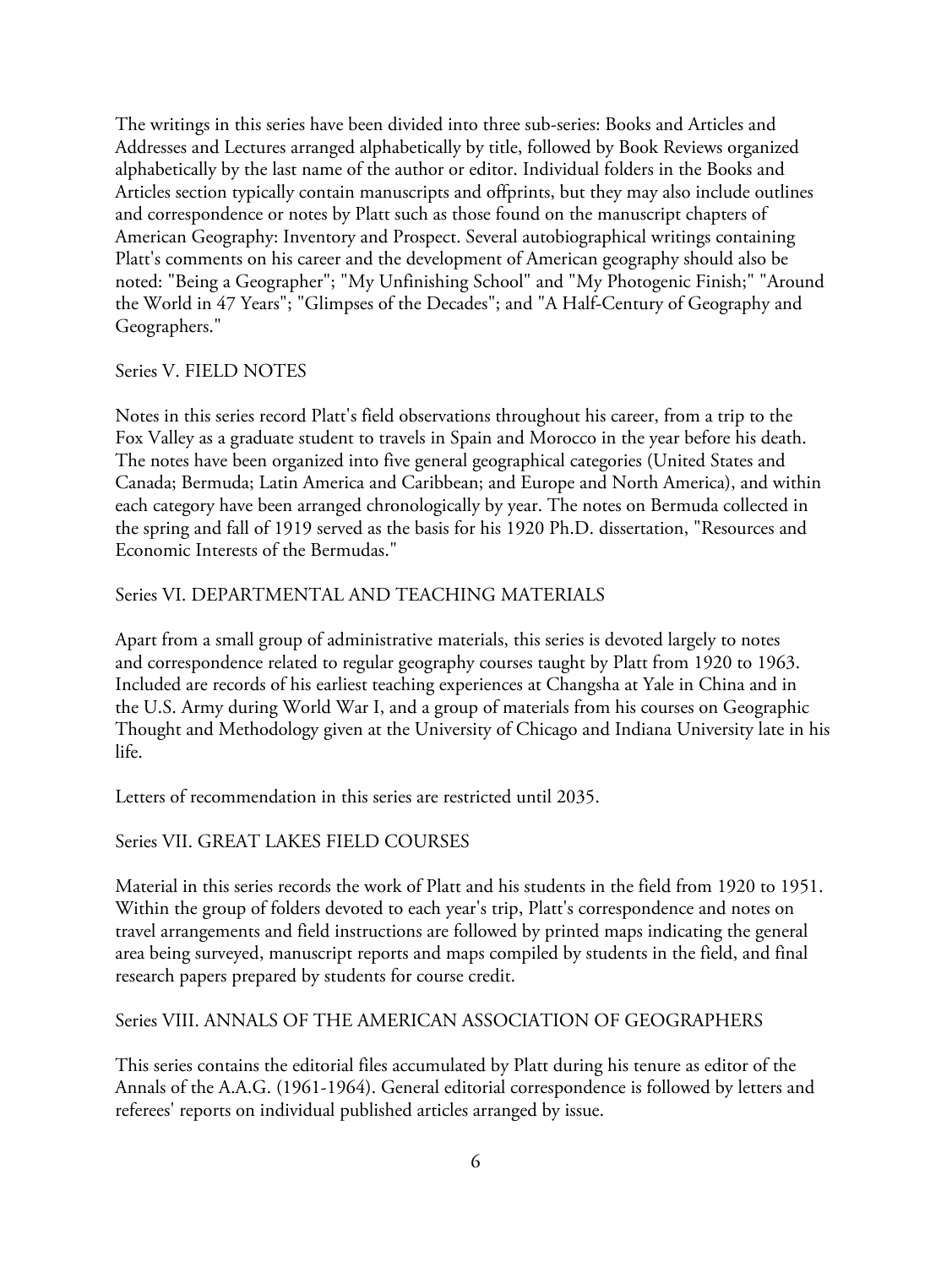The writings in this series have been divided into three sub-series: Books and Articles and Addresses and Lectures arranged alphabetically by title, followed by Book Reviews organized alphabetically by the last name of the author or editor. Individual folders in the Books and Articles section typically contain manuscripts and offprints, but they may also include outlines and correspondence or notes by Platt such as those found on the manuscript chapters of American Geography: Inventory and Prospect. Several autobiographical writings containing Platt's comments on his career and the development of American geography should also be noted: "Being a Geographer"; "My Unfinishing School" and "My Photogenic Finish;" "Around the World in 47 Years"; "Glimpses of the Decades"; and "A Half-Century of Geography and Geographers."

#### Series V. FIELD NOTES

Notes in this series record Platt's field observations throughout his career, from a trip to the Fox Valley as a graduate student to travels in Spain and Morocco in the year before his death. The notes have been organized into five general geographical categories (United States and Canada; Bermuda; Latin America and Caribbean; and Europe and North America), and within each category have been arranged chronologically by year. The notes on Bermuda collected in the spring and fall of 1919 served as the basis for his 1920 Ph.D. dissertation, "Resources and Economic Interests of the Bermudas."

# Series VI. DEPARTMENTAL AND TEACHING MATERIALS

Apart from a small group of administrative materials, this series is devoted largely to notes and correspondence related to regular geography courses taught by Platt from 1920 to 1963. Included are records of his earliest teaching experiences at Changsha at Yale in China and in the U.S. Army during World War I, and a group of materials from his courses on Geographic Thought and Methodology given at the University of Chicago and Indiana University late in his life.

Letters of recommendation in this series are restricted until 2035.

#### Series VII. GREAT LAKES FIELD COURSES

Material in this series records the work of Platt and his students in the field from 1920 to 1951. Within the group of folders devoted to each year's trip, Platt's correspondence and notes on travel arrangements and field instructions are followed by printed maps indicating the general area being surveyed, manuscript reports and maps compiled by students in the field, and final research papers prepared by students for course credit.

#### Series VIII. ANNALS OF THE AMERICAN ASSOCIATION OF GEOGRAPHERS

This series contains the editorial files accumulated by Platt during his tenure as editor of the Annals of the A.A.G. (1961-1964). General editorial correspondence is followed by letters and referees' reports on individual published articles arranged by issue.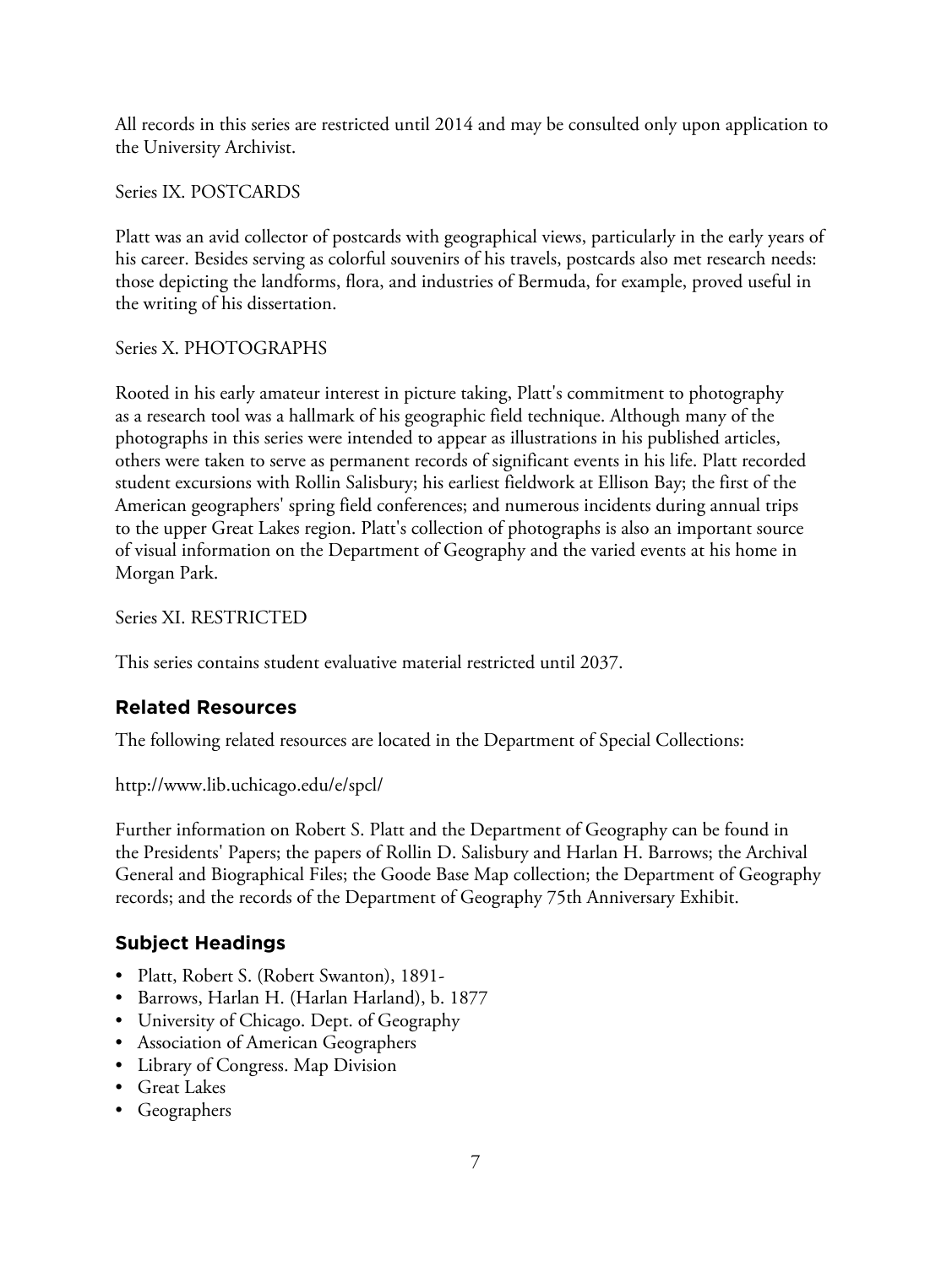All records in this series are restricted until 2014 and may be consulted only upon application to the University Archivist.

Series IX. POSTCARDS

Platt was an avid collector of postcards with geographical views, particularly in the early years of his career. Besides serving as colorful souvenirs of his travels, postcards also met research needs: those depicting the landforms, flora, and industries of Bermuda, for example, proved useful in the writing of his dissertation.

# Series X. PHOTOGRAPHS

Rooted in his early amateur interest in picture taking, Platt's commitment to photography as a research tool was a hallmark of his geographic field technique. Although many of the photographs in this series were intended to appear as illustrations in his published articles, others were taken to serve as permanent records of significant events in his life. Platt recorded student excursions with Rollin Salisbury; his earliest fieldwork at Ellison Bay; the first of the American geographers' spring field conferences; and numerous incidents during annual trips to the upper Great Lakes region. Platt's collection of photographs is also an important source of visual information on the Department of Geography and the varied events at his home in Morgan Park.

Series XI. RESTRICTED

This series contains student evaluative material restricted until 2037.

# **Related Resources**

The following related resources are located in the Department of Special Collections:

http://www.lib.uchicago.edu/e/spcl/

Further information on Robert S. Platt and the Department of Geography can be found in the Presidents' Papers; the papers of Rollin D. Salisbury and Harlan H. Barrows; the Archival General and Biographical Files; the Goode Base Map collection; the Department of Geography records; and the records of the Department of Geography 75th Anniversary Exhibit.

# **Subject Headings**

- Platt, Robert S. (Robert Swanton), 1891-
- Barrows, Harlan H. (Harlan Harland), b. 1877
- University of Chicago. Dept. of Geography
- Association of American Geographers
- Library of Congress. Map Division
- Great Lakes
- Geographers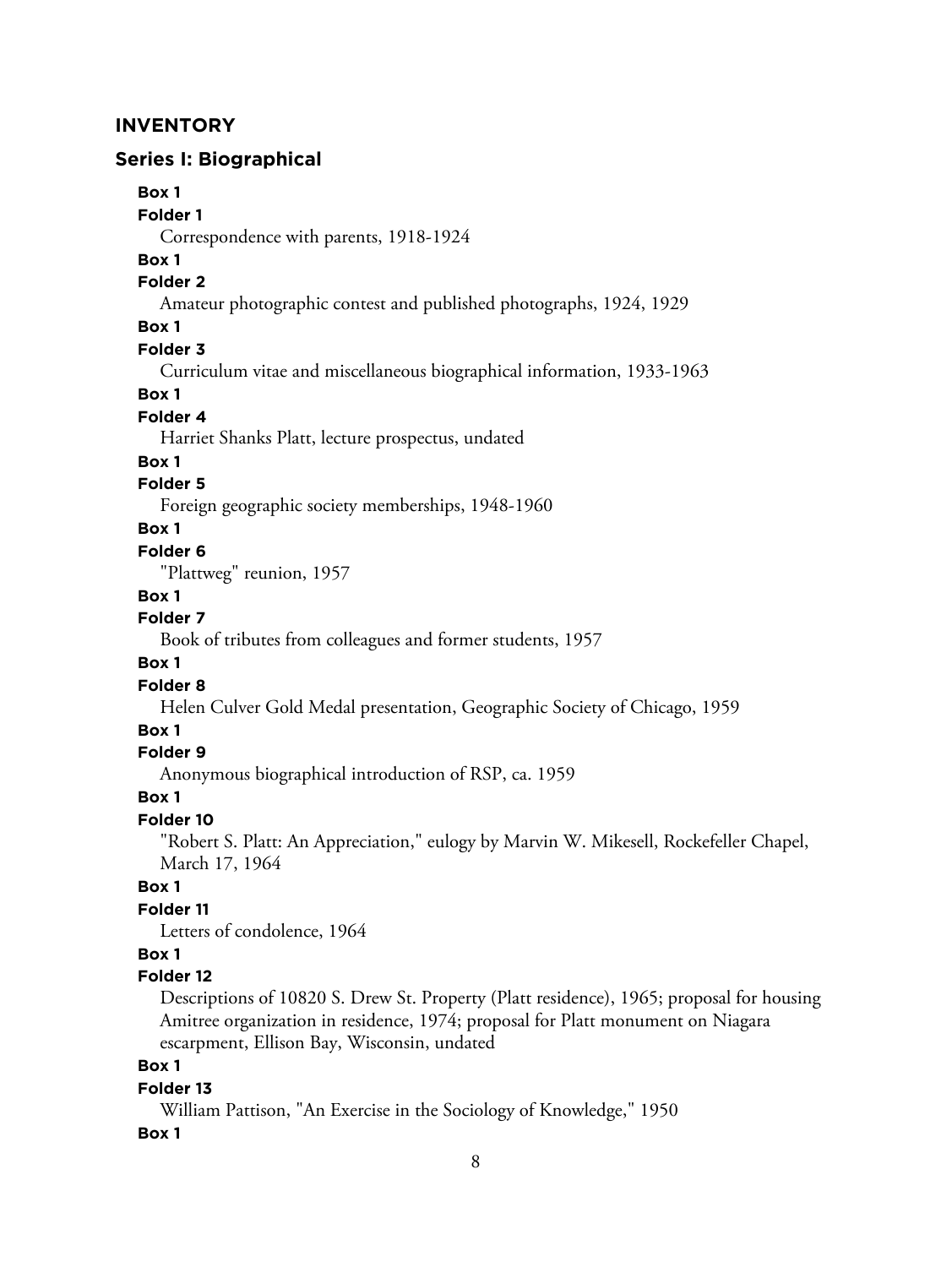## **INVENTORY**

#### **Series I: Biographical**

#### **Box 1**

#### **Folder 1**

Correspondence with parents, 1918-1924

# **Box 1**

#### **Folder 2**

Amateur photographic contest and published photographs, 1924, 1929

## **Box 1**

#### **Folder 3**

Curriculum vitae and miscellaneous biographical information, 1933-1963

#### **Box 1**

#### **Folder 4**

Harriet Shanks Platt, lecture prospectus, undated

#### **Box 1**

## **Folder 5**

Foreign geographic society memberships, 1948-1960

#### **Box 1**

#### **Folder 6**

"Plattweg" reunion, 1957

#### **Box 1**

# **Folder 7**

Book of tributes from colleagues and former students, 1957

#### **Box 1**

#### **Folder 8**

Helen Culver Gold Medal presentation, Geographic Society of Chicago, 1959

## **Box 1**

#### **Folder 9**

Anonymous biographical introduction of RSP, ca. 1959

#### **Box 1**

#### **Folder 10**

"Robert S. Platt: An Appreciation," eulogy by Marvin W. Mikesell, Rockefeller Chapel, March 17, 1964

# **Box 1**

# **Folder 11**

Letters of condolence, 1964

#### **Box 1**

#### **Folder 12**

Descriptions of 10820 S. Drew St. Property (Platt residence), 1965; proposal for housing Amitree organization in residence, 1974; proposal for Platt monument on Niagara escarpment, Ellison Bay, Wisconsin, undated

## **Box 1**

#### **Folder 13**

William Pattison, "An Exercise in the Sociology of Knowledge," 1950

#### **Box 1**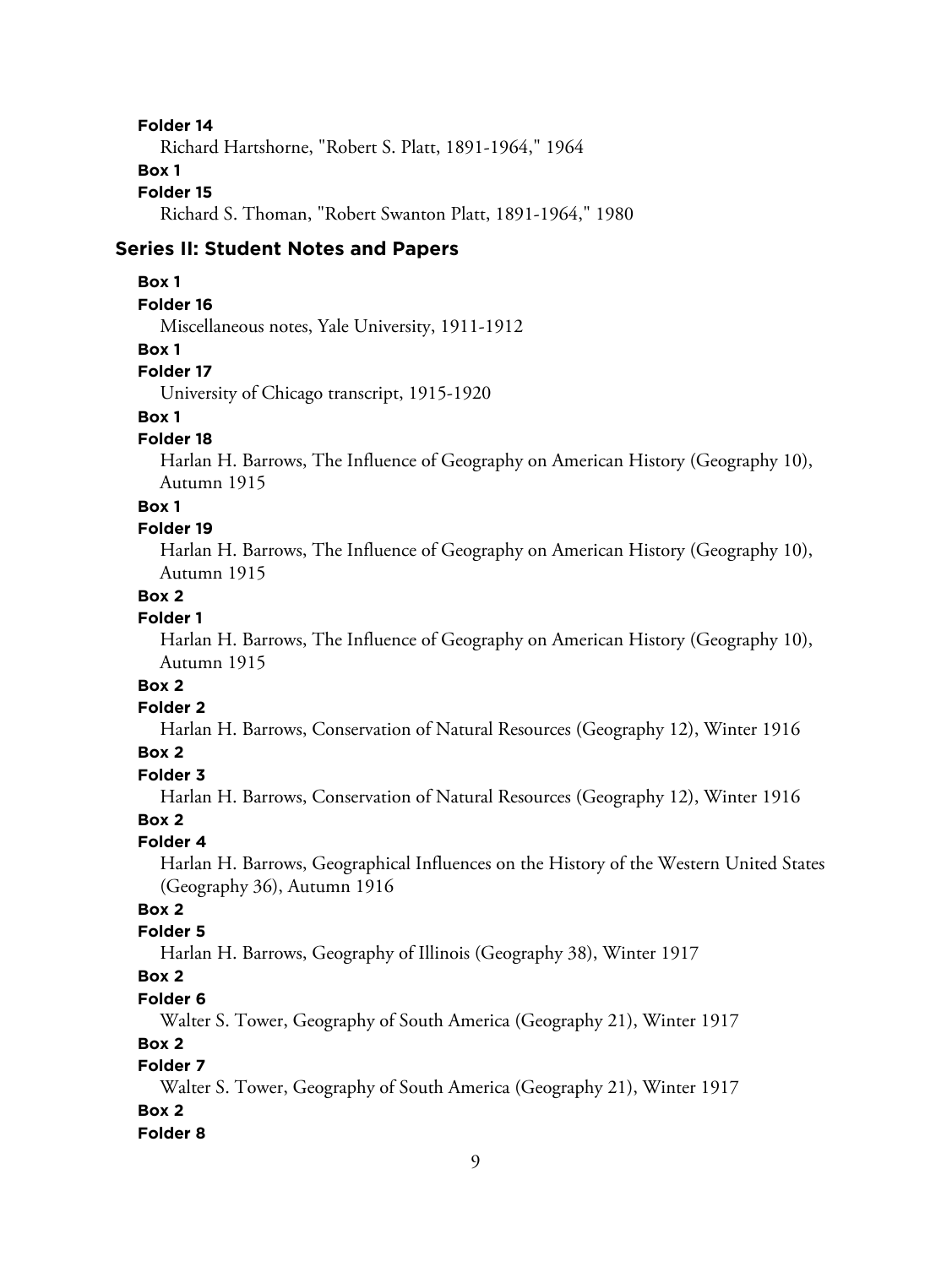#### **Folder 14**

Richard Hartshorne, "Robert S. Platt, 1891-1964," 1964

## **Box 1**

#### **Folder 15**

Richard S. Thoman, "Robert Swanton Platt, 1891-1964," 1980

#### **Series II: Student Notes and Papers**

#### **Box 1**

#### **Folder 16**

Miscellaneous notes, Yale University, 1911-1912

#### **Box 1**

#### **Folder 17**

University of Chicago transcript, 1915-1920

# **Box 1**

#### **Folder 18**

Harlan H. Barrows, The Influence of Geography on American History (Geography 10), Autumn 1915

#### **Box 1**

#### **Folder 19**

Harlan H. Barrows, The Influence of Geography on American History (Geography 10), Autumn 1915

## **Box 2**

# **Folder 1**

Harlan H. Barrows, The Influence of Geography on American History (Geography 10), Autumn 1915

# **Box 2**

### **Folder 2**

Harlan H. Barrows, Conservation of Natural Resources (Geography 12), Winter 1916

## **Box 2**

# **Folder 3**

Harlan H. Barrows, Conservation of Natural Resources (Geography 12), Winter 1916

# **Box 2**

#### **Folder 4**

Harlan H. Barrows, Geographical Influences on the History of the Western United States (Geography 36), Autumn 1916

# **Box 2**

#### **Folder 5**

Harlan H. Barrows, Geography of Illinois (Geography 38), Winter 1917

# **Box 2**

#### **Folder 6**

Walter S. Tower, Geography of South America (Geography 21), Winter 1917

#### **Box 2**

# **Folder 7**

Walter S. Tower, Geography of South America (Geography 21), Winter 1917

## **Box 2**

#### **Folder 8**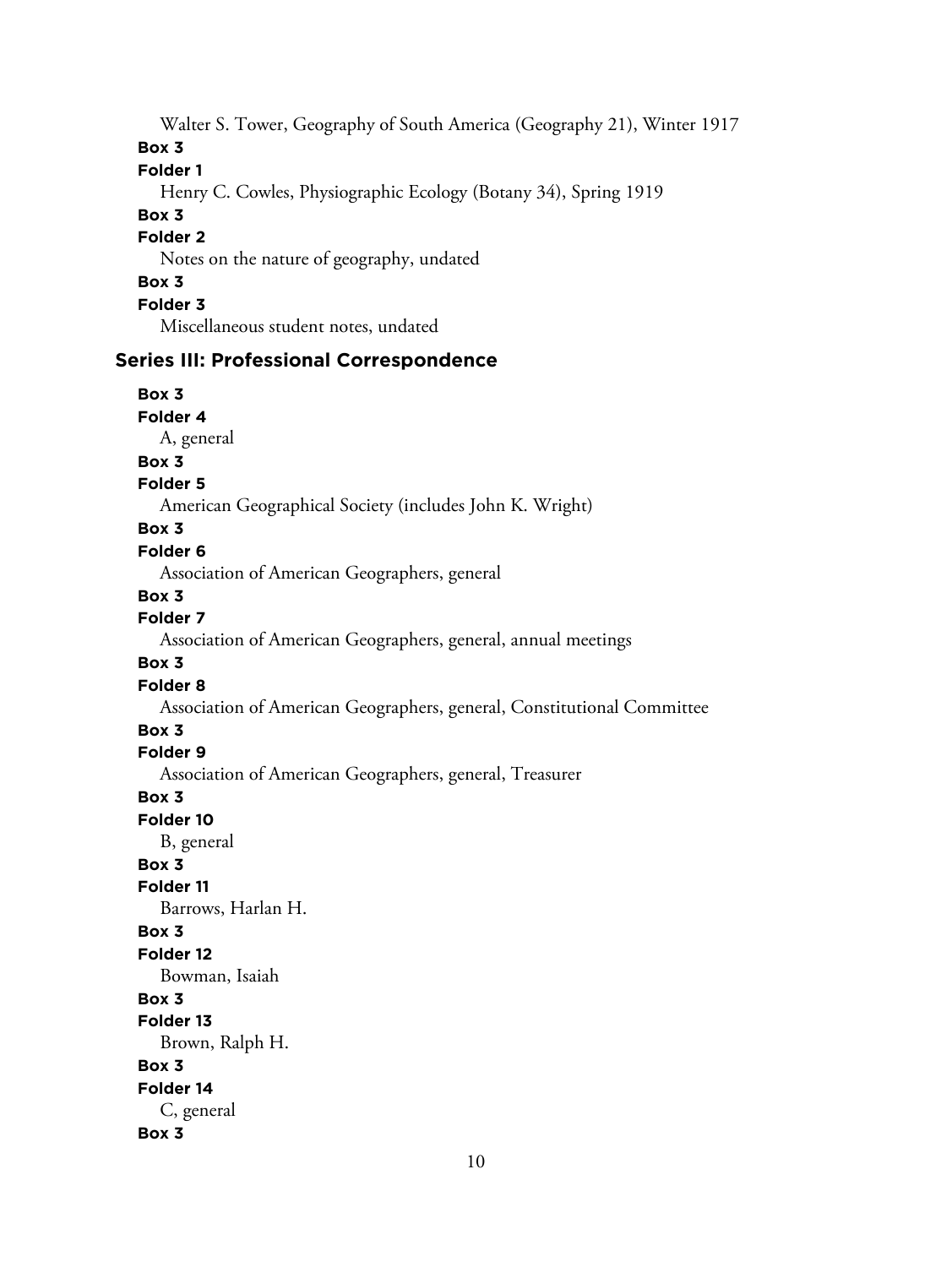Walter S. Tower, Geography of South America (Geography 21), Winter 1917

**Box 3**

# **Folder 1**

Henry C. Cowles, Physiographic Ecology (Botany 34), Spring 1919

#### **Box 3**

## **Folder 2**

Notes on the nature of geography, undated

# **Box 3**

**Folder 3**

Miscellaneous student notes, undated

# **Series III: Professional Correspondence**

# **Box 3**

**Folder 4**

A, general

# **Box 3**

# **Folder 5**

American Geographical Society (includes John K. Wright)

#### **Box 3**

#### **Folder 6**

Association of American Geographers, general

#### **Box 3**

#### **Folder 7**

Association of American Geographers, general, annual meetings

#### **Box 3**

**Folder 8**

Association of American Geographers, general, Constitutional Committee

## **Box 3**

# **Folder 9**

Association of American Geographers, general, Treasurer

#### **Box 3**

**Folder 10**

B, general

#### **Box 3**

#### **Folder 11**

Barrows, Harlan H.

#### **Box 3**

#### **Folder 12**

Bowman, Isaiah

#### **Box 3**

**Folder 13**

Brown, Ralph H.

# **Box 3**

# **Folder 14**

C, general

#### **Box 3**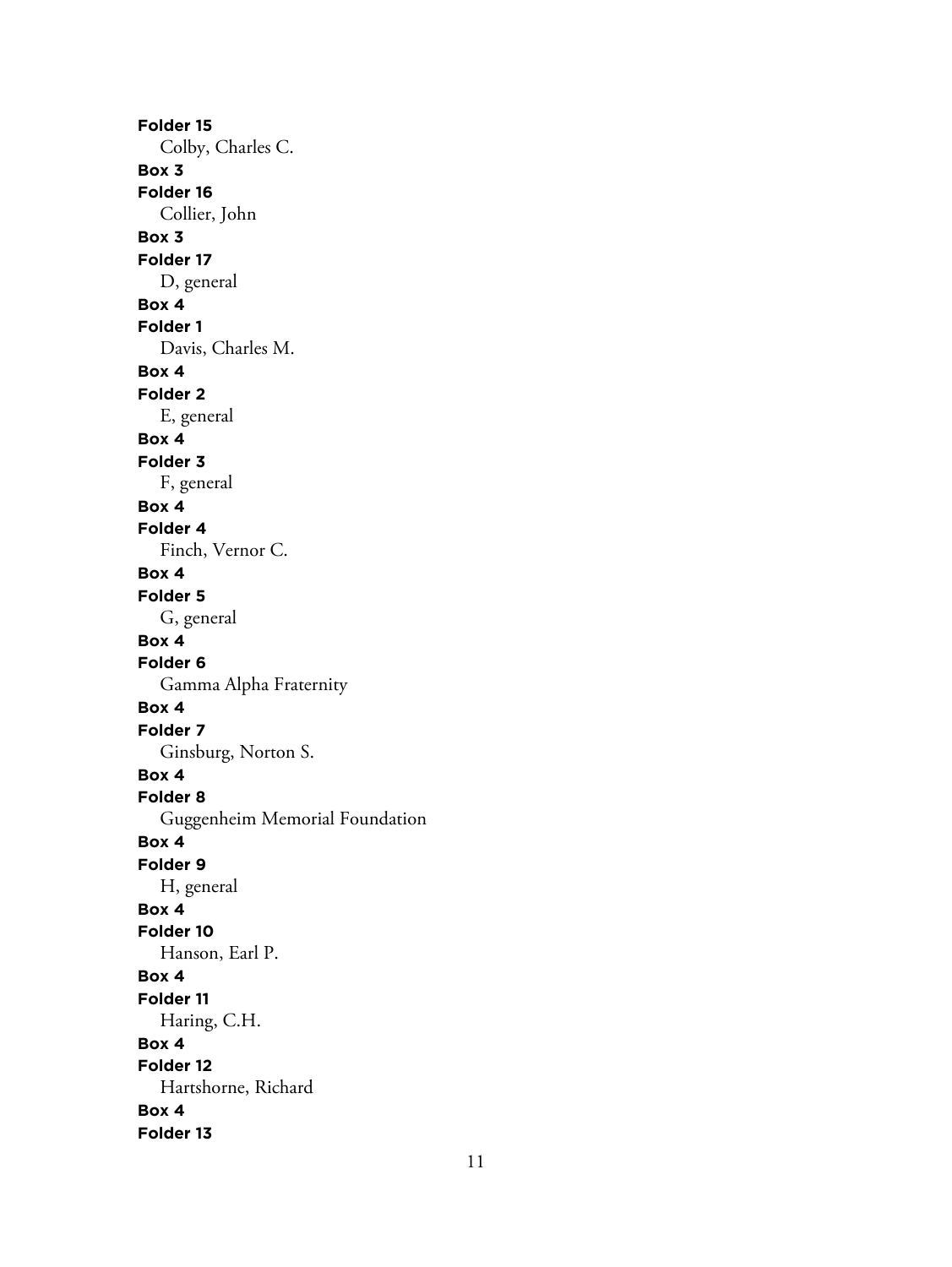**Folder 15** Colby, Charles C. **Box 3 Folder 16** Collier, John **Box 3 Folder 17** D, general **Box 4 Folder 1** Davis, Charles M. **Box 4 Folder 2** E, general **Box 4 Folder 3** F, general **Box 4 Folder 4** Finch, Vernor C. **Box 4 Folder 5** G, general **Box 4 Folder 6** Gamma Alpha Fraternity **Box 4 Folder 7** Ginsburg, Norton S. **Box 4 Folder 8** Guggenheim Memorial Foundation **Box 4 Folder 9** H, general **Box 4 Folder 10** Hanson, Earl P. **Box 4 Folder 11** Haring, C.H. **Box 4 Folder 12** Hartshorne, Richard **Box 4 Folder 13**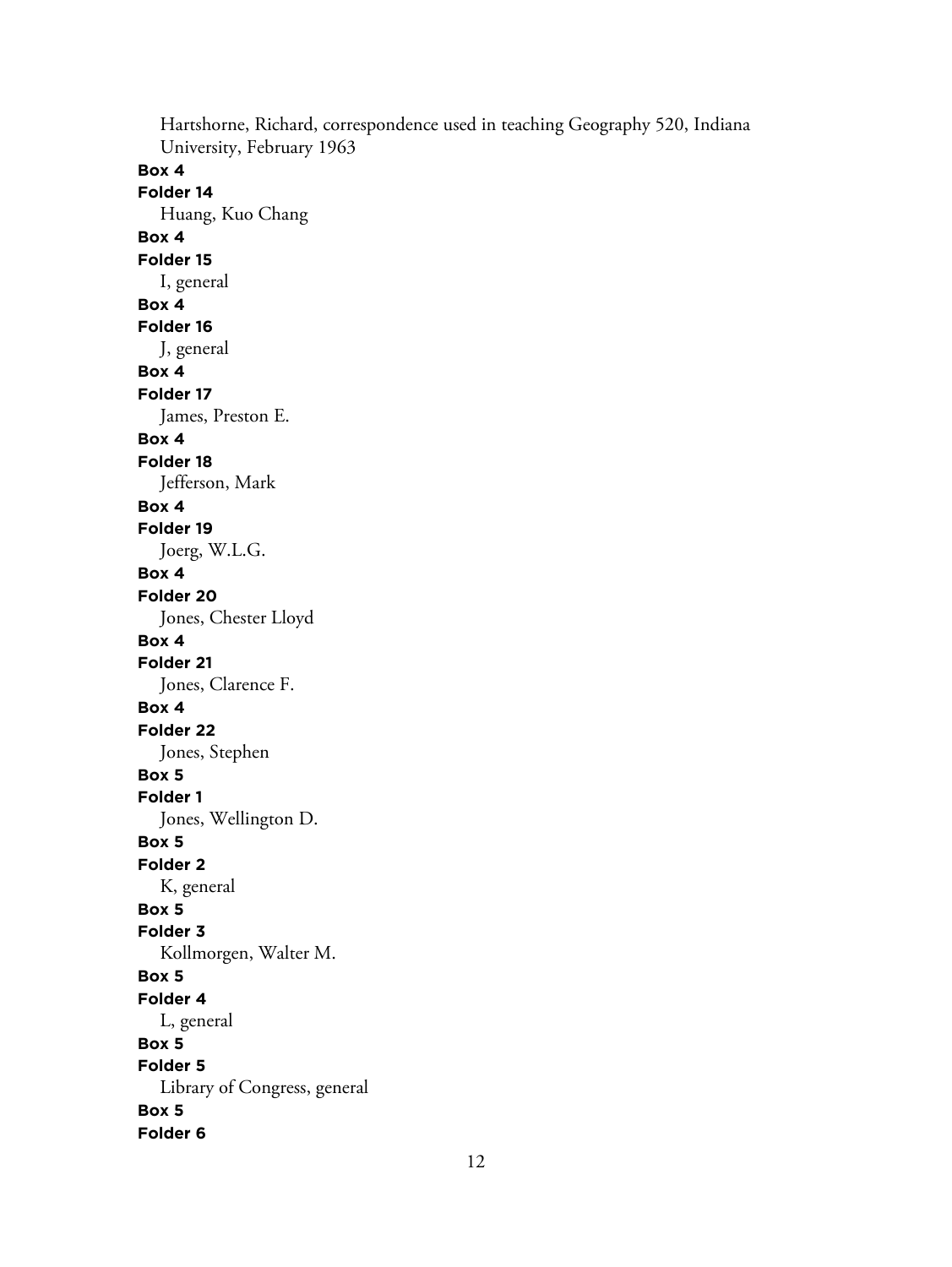Hartshorne, Richard, correspondence used in teaching Geography 520, Indiana University, February 1963 **Box 4 Folder 14** Huang, Kuo Chang **Box 4 Folder 15** I, general **Box 4 Folder 16** J, general **Box 4 Folder 17** James, Preston E. **Box 4 Folder 18** Jefferson, Mark **Box 4 Folder 19** Joerg, W.L.G. **Box 4 Folder 20** Jones, Chester Lloyd **Box 4 Folder 21** Jones, Clarence F. **Box 4 Folder 22** Jones, Stephen **Box 5 Folder 1** Jones, Wellington D. **Box 5 Folder 2** K, general **Box 5 Folder 3** Kollmorgen, Walter M. **Box 5 Folder 4** L, general **Box 5 Folder 5** Library of Congress, general **Box 5 Folder 6**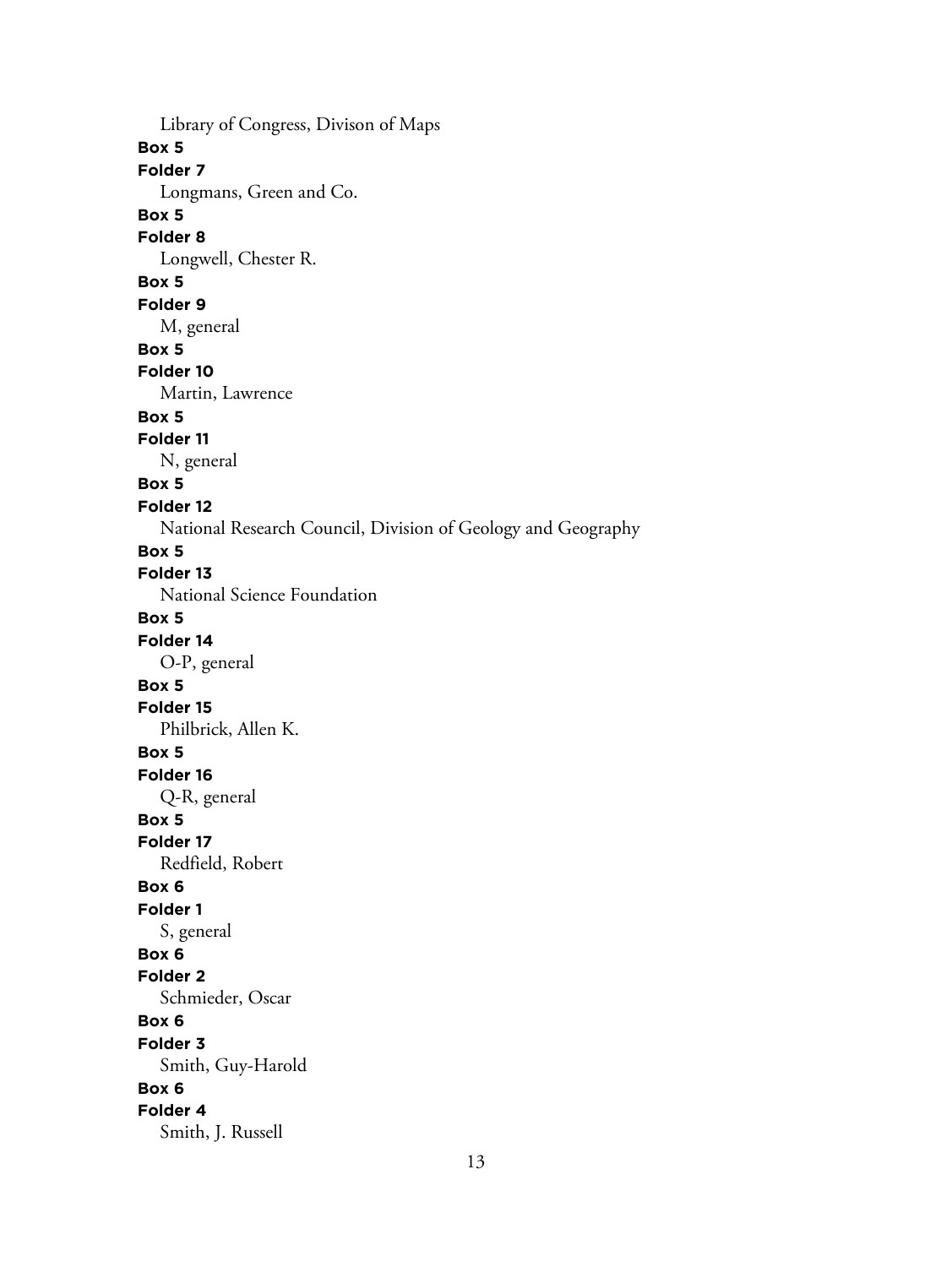Library of Congress, Divison of Maps **Box 5 Folder 7** Longmans, Green and Co. **Box 5 Folder 8** Longwell, Chester R. **Box 5 Folder 9** M, general **Box 5 Folder 10** Martin, Lawrence **Box 5 Folder 11** N, general **Box 5 Folder 12** National Research Council, Division of Geology and Geography **Box 5 Folder 13** National Science Foundation **Box 5 Folder 14** O-P, general **Box 5 Folder 15** Philbrick, Allen K. **Box 5 Folder 16** Q-R, general **Box 5 Folder 17** Redfield, Robert **Box 6 Folder 1** S, general **Box 6 Folder 2** Schmieder, Oscar **Box 6 Folder 3** Smith, Guy-Harold **Box 6 Folder 4** Smith, J. Russell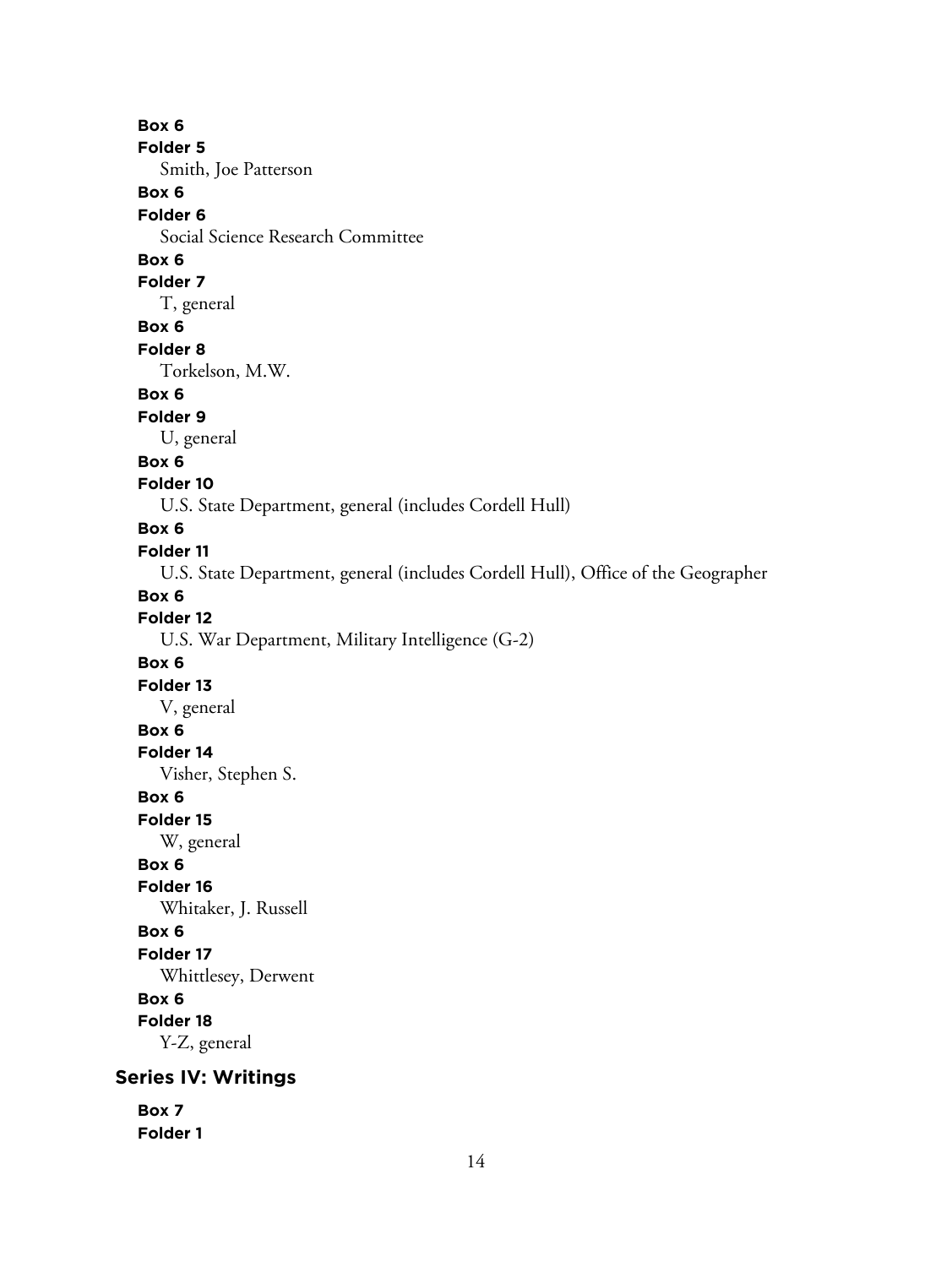**Box 6 Folder 5** Smith, Joe Patterson **Box 6 Folder 6** Social Science Research Committee **Box 6 Folder 7** T, general **Box 6 Folder 8** Torkelson, M.W. **Box 6 Folder 9** U, general **Box 6 Folder 10** U.S. State Department, general (includes Cordell Hull) **Box 6 Folder 11** U.S. State Department, general (includes Cordell Hull), Office of the Geographer **Box 6 Folder 12** U.S. War Department, Military Intelligence (G-2) **Box 6 Folder 13** V, general **Box 6 Folder 14** Visher, Stephen S. **Box 6 Folder 15** W, general **Box 6 Folder 16** Whitaker, J. Russell **Box 6 Folder 17** Whittlesey, Derwent **Box 6 Folder 18** Y-Z, general **Series IV: Writings Box 7**

**Folder 1**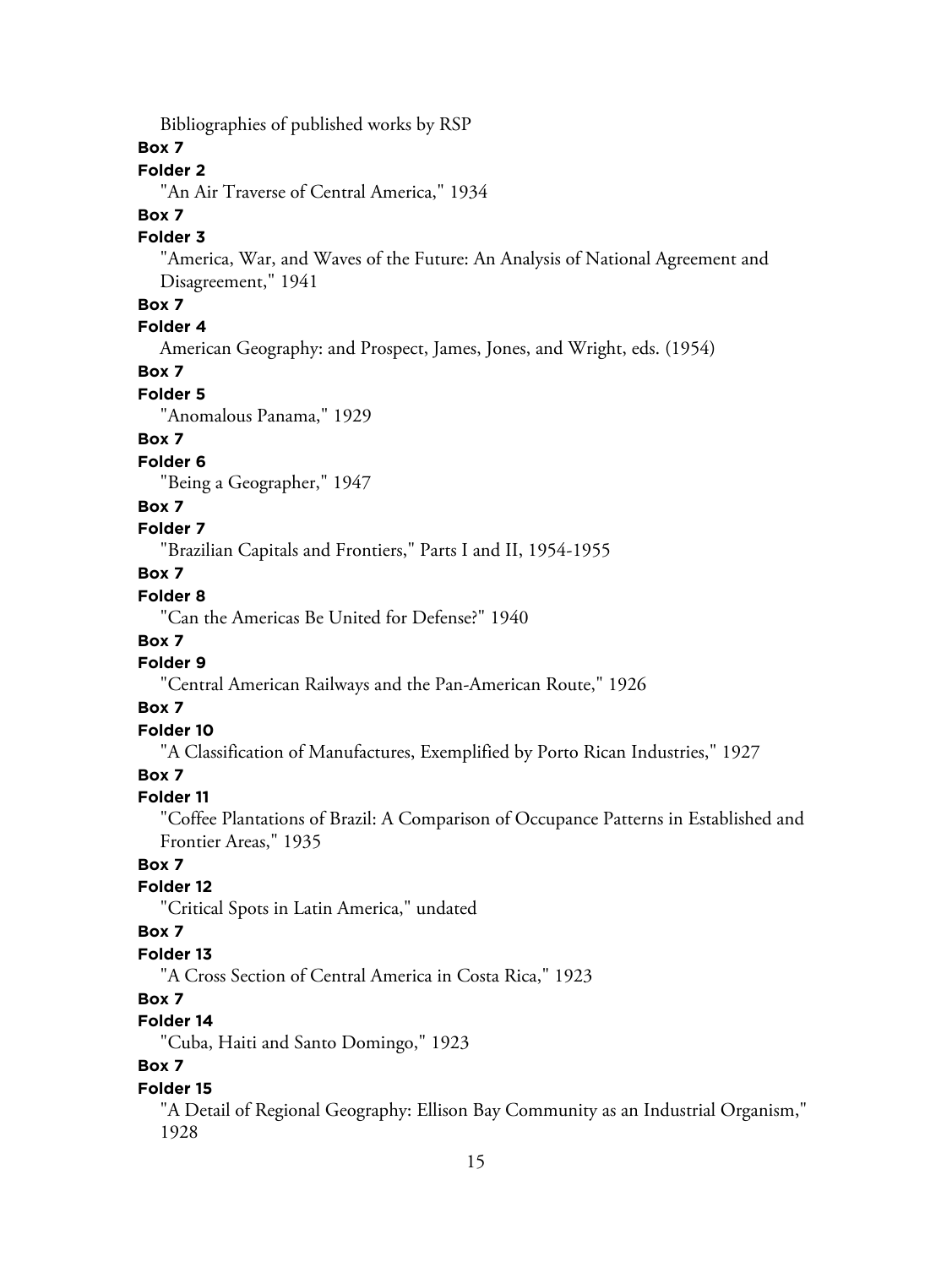Bibliographies of published works by RSP

## **Box 7**

# **Folder 2**

"An Air Traverse of Central America," 1934

#### **Box 7**

#### **Folder 3**

"America, War, and Waves of the Future: An Analysis of National Agreement and Disagreement," 1941

# **Box 7**

# **Folder 4**

American Geography: and Prospect, James, Jones, and Wright, eds. (1954)

# **Box 7**

#### **Folder 5**

"Anomalous Panama," 1929

# **Box 7**

# **Folder 6**

"Being a Geographer," 1947

## **Box 7**

#### **Folder 7**

"Brazilian Capitals and Frontiers," Parts I and II, 1954-1955

# **Box 7**

# **Folder 8**

"Can the Americas Be United for Defense?" 1940

#### **Box 7**

#### **Folder 9**

"Central American Railways and the Pan-American Route," 1926

#### **Box 7**

# **Folder 10**

"A Classification of Manufactures, Exemplified by Porto Rican Industries," 1927

## **Box 7**

#### **Folder 11**

"Coffee Plantations of Brazil: A Comparison of Occupance Patterns in Established and Frontier Areas," 1935

# **Box 7**

# **Folder 12**

"Critical Spots in Latin America," undated

# **Box 7**

#### **Folder 13**

"A Cross Section of Central America in Costa Rica," 1923

#### **Box 7**

# **Folder 14**

"Cuba, Haiti and Santo Domingo," 1923

# **Box 7**

#### **Folder 15**

"A Detail of Regional Geography: Ellison Bay Community as an Industrial Organism," 1928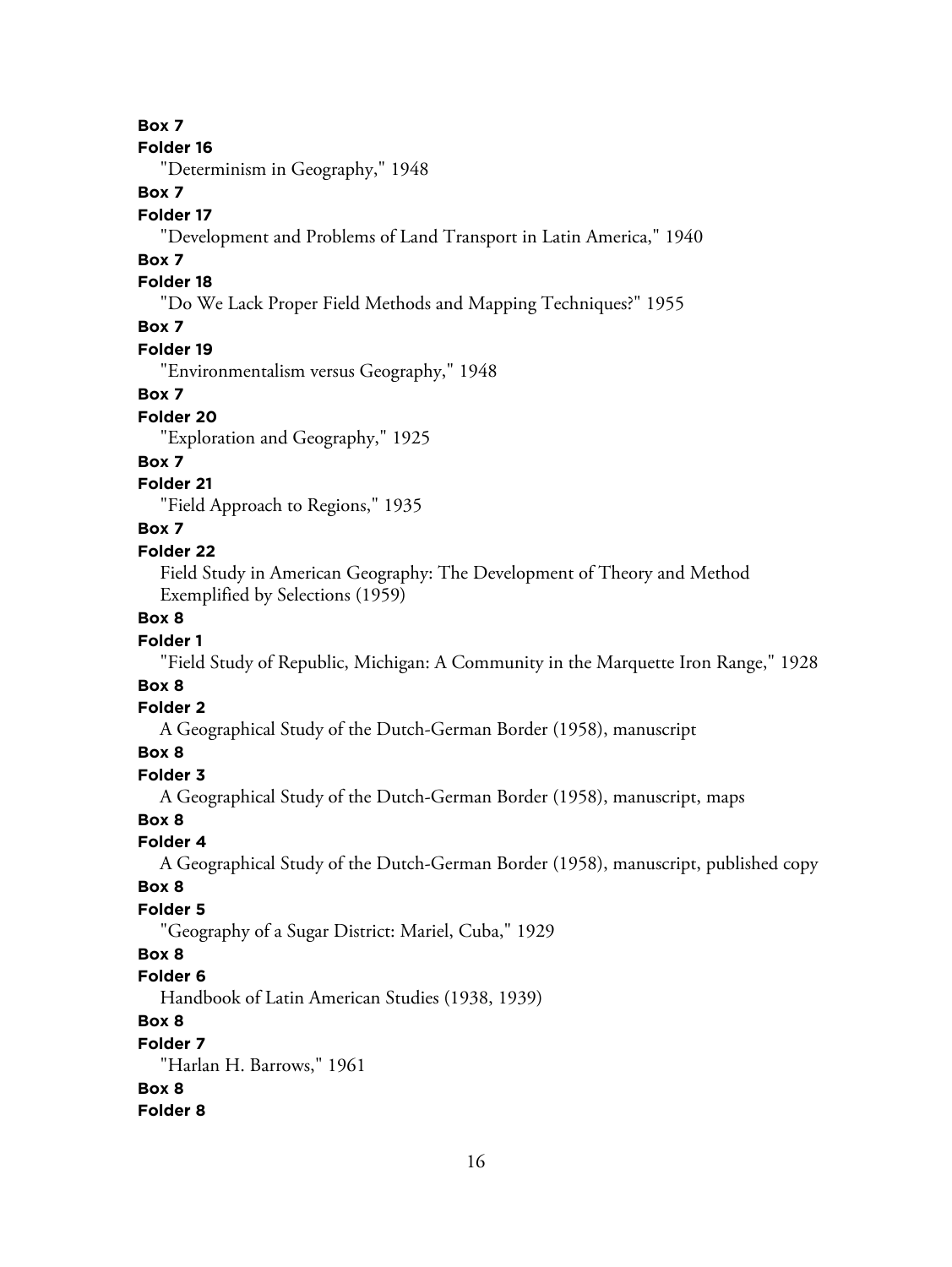#### **Box 7**

#### **Folder 16**

"Determinism in Geography," 1948

# **Box 7**

#### **Folder 17**

"Development and Problems of Land Transport in Latin America," 1940

#### **Box 7**

#### **Folder 18**

"Do We Lack Proper Field Methods and Mapping Techniques?" 1955

# **Box 7**

## **Folder 19**

"Environmentalism versus Geography," 1948

#### **Box 7**

#### **Folder 20**

"Exploration and Geography," 1925

# **Box 7**

# **Folder 21**

"Field Approach to Regions," 1935

#### **Box 7**

#### **Folder 22**

Field Study in American Geography: The Development of Theory and Method Exemplified by Selections (1959)

# **Box 8**

# **Folder 1**

"Field Study of Republic, Michigan: A Community in the Marquette Iron Range," 1928

# **Box 8**

#### **Folder 2**

A Geographical Study of the Dutch-German Border (1958), manuscript

# **Box 8**

#### **Folder 3**

A Geographical Study of the Dutch-German Border (1958), manuscript, maps

#### **Box 8**

# **Folder 4**

A Geographical Study of the Dutch-German Border (1958), manuscript, published copy

#### **Box 8**

# **Folder 5**

"Geography of a Sugar District: Mariel, Cuba," 1929

# **Box 8**

# **Folder 6**

Handbook of Latin American Studies (1938, 1939)

# **Box 8**

#### **Folder 7**

"Harlan H. Barrows," 1961

# **Box 8**

**Folder 8**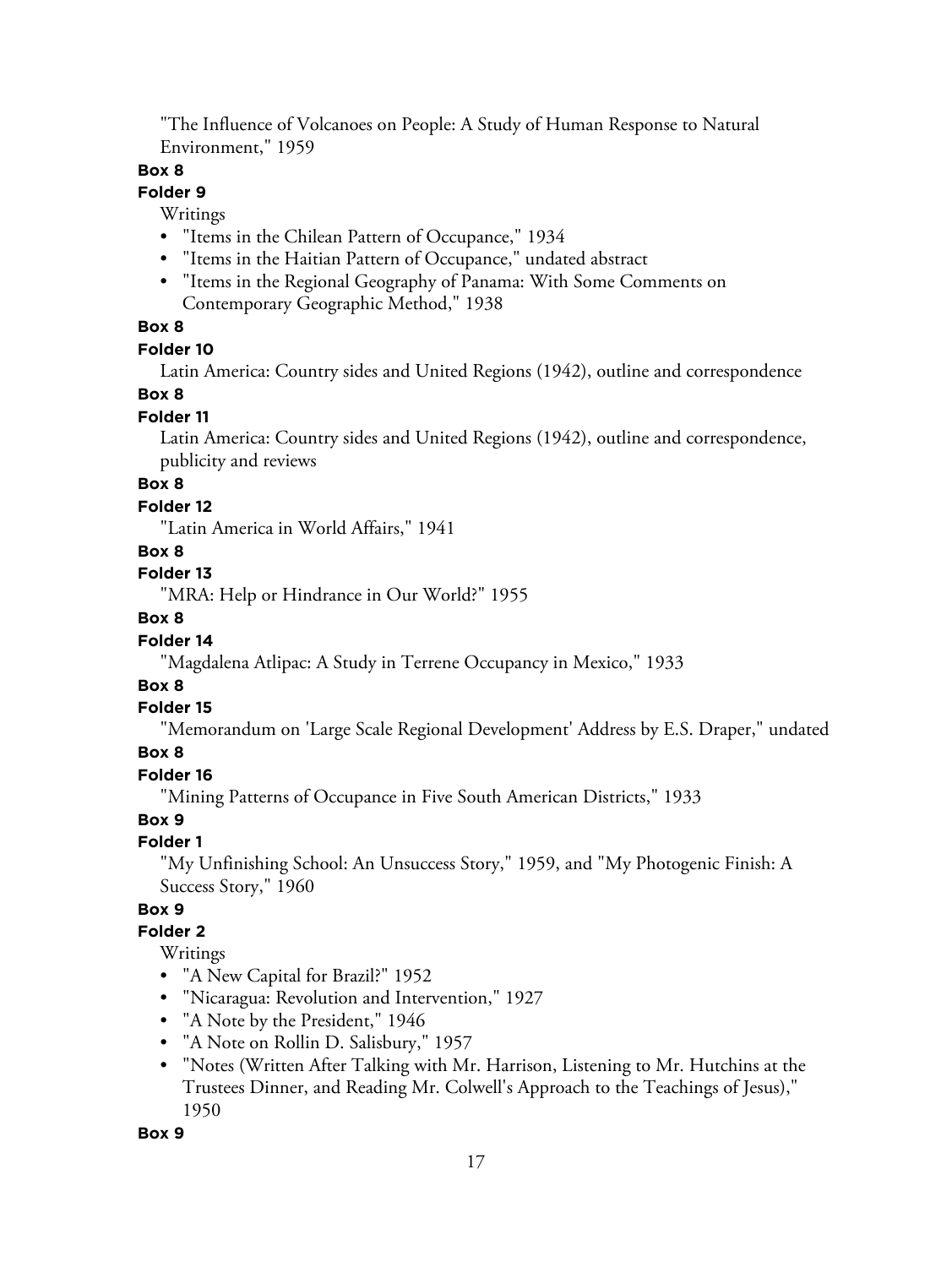"The Influence of Volcanoes on People: A Study of Human Response to Natural Environment," 1959

#### **Box 8**

#### **Folder 9**

Writings

- "Items in the Chilean Pattern of Occupance," 1934
- "Items in the Haitian Pattern of Occupance," undated abstract
- "Items in the Regional Geography of Panama: With Some Comments on Contemporary Geographic Method," 1938

#### **Box 8**

#### **Folder 10**

Latin America: Country sides and United Regions (1942), outline and correspondence

#### **Box 8**

#### **Folder 11**

Latin America: Country sides and United Regions (1942), outline and correspondence, publicity and reviews

# **Box 8**

#### **Folder 12**

"Latin America in World Affairs," 1941

#### **Box 8**

#### **Folder 13**

"MRA: Help or Hindrance in Our World?" 1955

#### **Box 8**

#### **Folder 14**

"Magdalena Atlipac: A Study in Terrene Occupancy in Mexico," 1933

#### **Box 8**

#### **Folder 15**

"Memorandum on 'Large Scale Regional Development' Address by E.S. Draper," undated

#### **Box 8**

#### **Folder 16**

"Mining Patterns of Occupance in Five South American Districts," 1933

#### **Box 9**

#### **Folder 1**

"My Unfinishing School: An Unsuccess Story," 1959, and "My Photogenic Finish: A Success Story," 1960

#### **Box 9**

#### **Folder 2**

Writings

- "A New Capital for Brazil?" 1952
- "Nicaragua: Revolution and Intervention," 1927
- "A Note by the President," 1946
- "A Note on Rollin D. Salisbury," 1957
- "Notes (Written After Talking with Mr. Harrison, Listening to Mr. Hutchins at the Trustees Dinner, and Reading Mr. Colwell's Approach to the Teachings of Jesus)," 1950

#### **Box 9**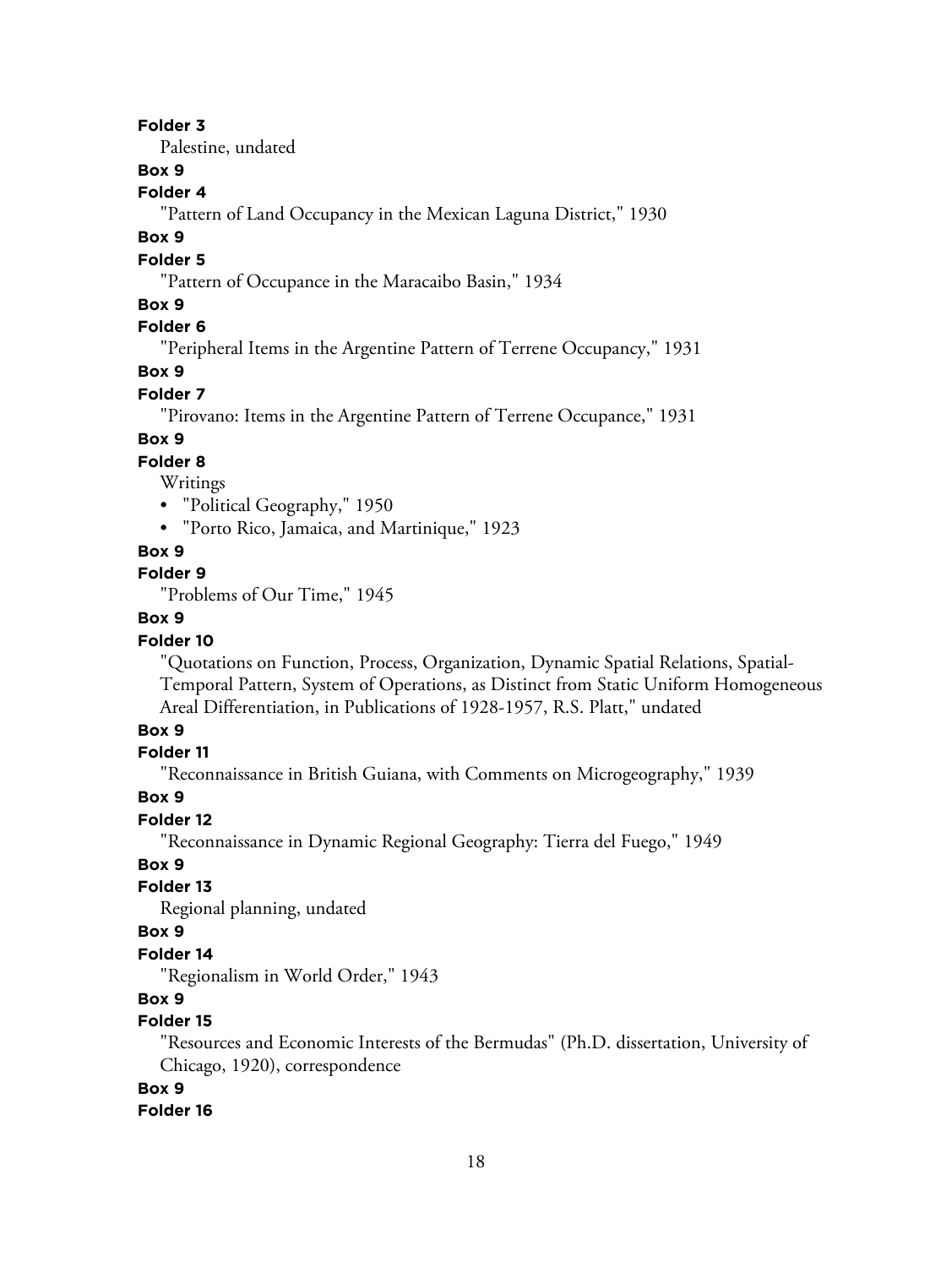#### **Folder 3**

Palestine, undated

# **Box 9**

#### **Folder 4**

"Pattern of Land Occupancy in the Mexican Laguna District," 1930

#### **Box 9**

#### **Folder 5**

"Pattern of Occupance in the Maracaibo Basin," 1934

#### **Box 9**

# **Folder 6**

"Peripheral Items in the Argentine Pattern of Terrene Occupancy," 1931

#### **Box 9**

#### **Folder 7**

"Pirovano: Items in the Argentine Pattern of Terrene Occupance," 1931

#### **Box 9**

#### **Folder 8**

Writings

- "Political Geography," 1950
- "Porto Rico, Jamaica, and Martinique," 1923

#### **Box 9**

# **Folder 9**

"Problems of Our Time," 1945

## **Box 9**

#### **Folder 10**

"Quotations on Function, Process, Organization, Dynamic Spatial Relations, Spatial-Temporal Pattern, System of Operations, as Distinct from Static Uniform Homogeneous Areal Differentiation, in Publications of 1928-1957, R.S. Platt," undated

#### **Box 9**

#### **Folder 11**

"Reconnaissance in British Guiana, with Comments on Microgeography," 1939

#### **Box 9**

#### **Folder 12**

"Reconnaissance in Dynamic Regional Geography: Tierra del Fuego," 1949

# **Box 9**

# **Folder 13**

Regional planning, undated

# **Box 9**

#### **Folder 14**

"Regionalism in World Order," 1943

# **Box 9**

# **Folder 15**

"Resources and Economic Interests of the Bermudas" (Ph.D. dissertation, University of Chicago, 1920), correspondence

#### **Box 9**

#### **Folder 16**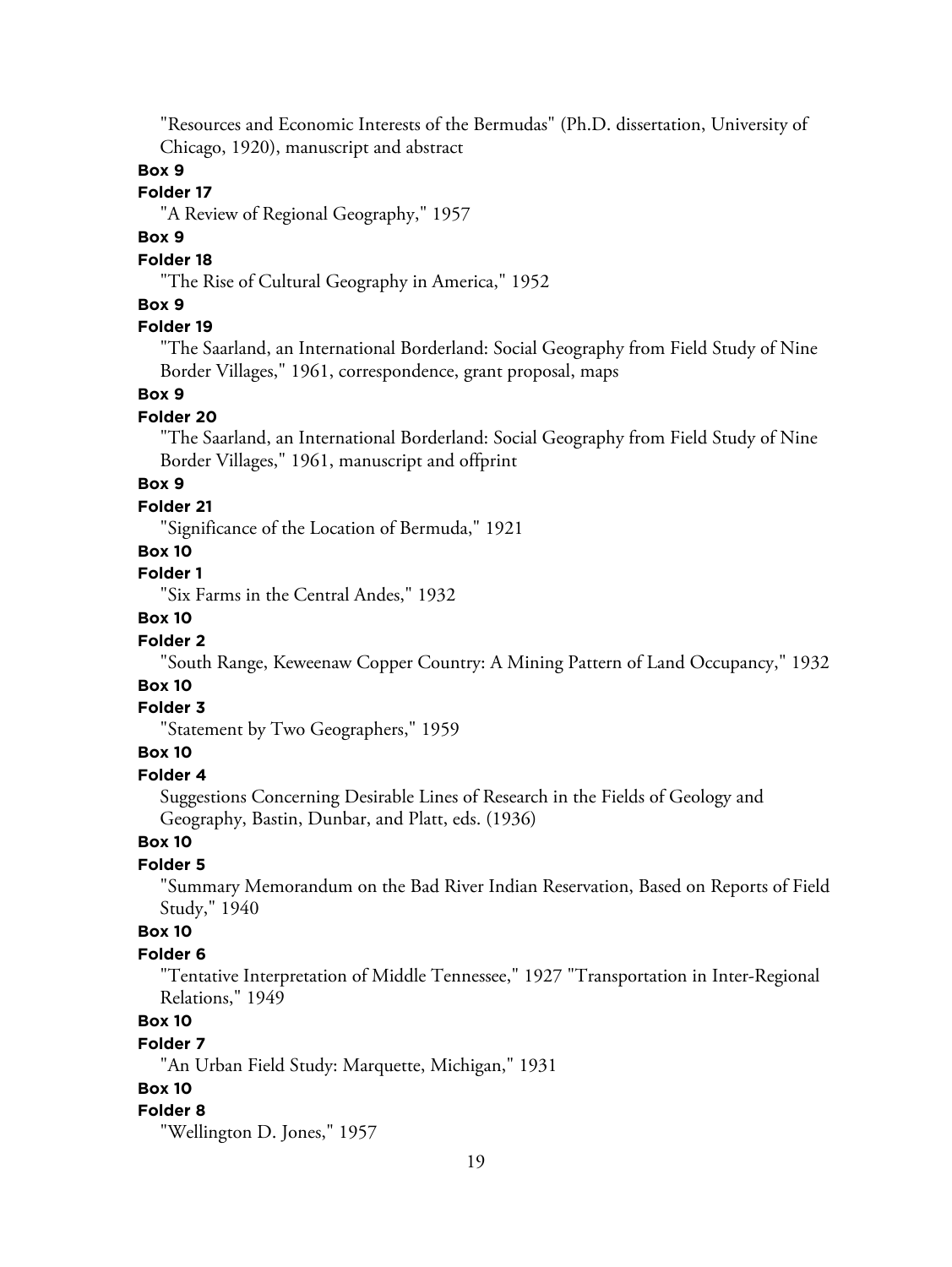"Resources and Economic Interests of the Bermudas" (Ph.D. dissertation, University of Chicago, 1920), manuscript and abstract

#### **Box 9**

## **Folder 17**

"A Review of Regional Geography," 1957

#### **Box 9**

#### **Folder 18**

"The Rise of Cultural Geography in America," 1952

#### **Box 9**

#### **Folder 19**

"The Saarland, an International Borderland: Social Geography from Field Study of Nine Border Villages," 1961, correspondence, grant proposal, maps

#### **Box 9**

#### **Folder 20**

"The Saarland, an International Borderland: Social Geography from Field Study of Nine Border Villages," 1961, manuscript and offprint

# **Box 9**

#### **Folder 21**

"Significance of the Location of Bermuda," 1921

#### **Box 10**

# **Folder 1**

"Six Farms in the Central Andes," 1932

# **Box 10**

#### **Folder 2**

"South Range, Keweenaw Copper Country: A Mining Pattern of Land Occupancy," 1932

# **Box 10**

#### **Folder 3**

"Statement by Two Geographers," 1959

## **Box 10**

## **Folder 4**

Suggestions Concerning Desirable Lines of Research in the Fields of Geology and Geography, Bastin, Dunbar, and Platt, eds. (1936)

# **Box 10**

# **Folder 5**

"Summary Memorandum on the Bad River Indian Reservation, Based on Reports of Field Study," 1940

#### **Box 10**

#### **Folder 6**

"Tentative Interpretation of Middle Tennessee," 1927 "Transportation in Inter-Regional Relations," 1949

# **Box 10**

#### **Folder 7**

"An Urban Field Study: Marquette, Michigan," 1931

# **Box 10**

#### **Folder 8**

"Wellington D. Jones," 1957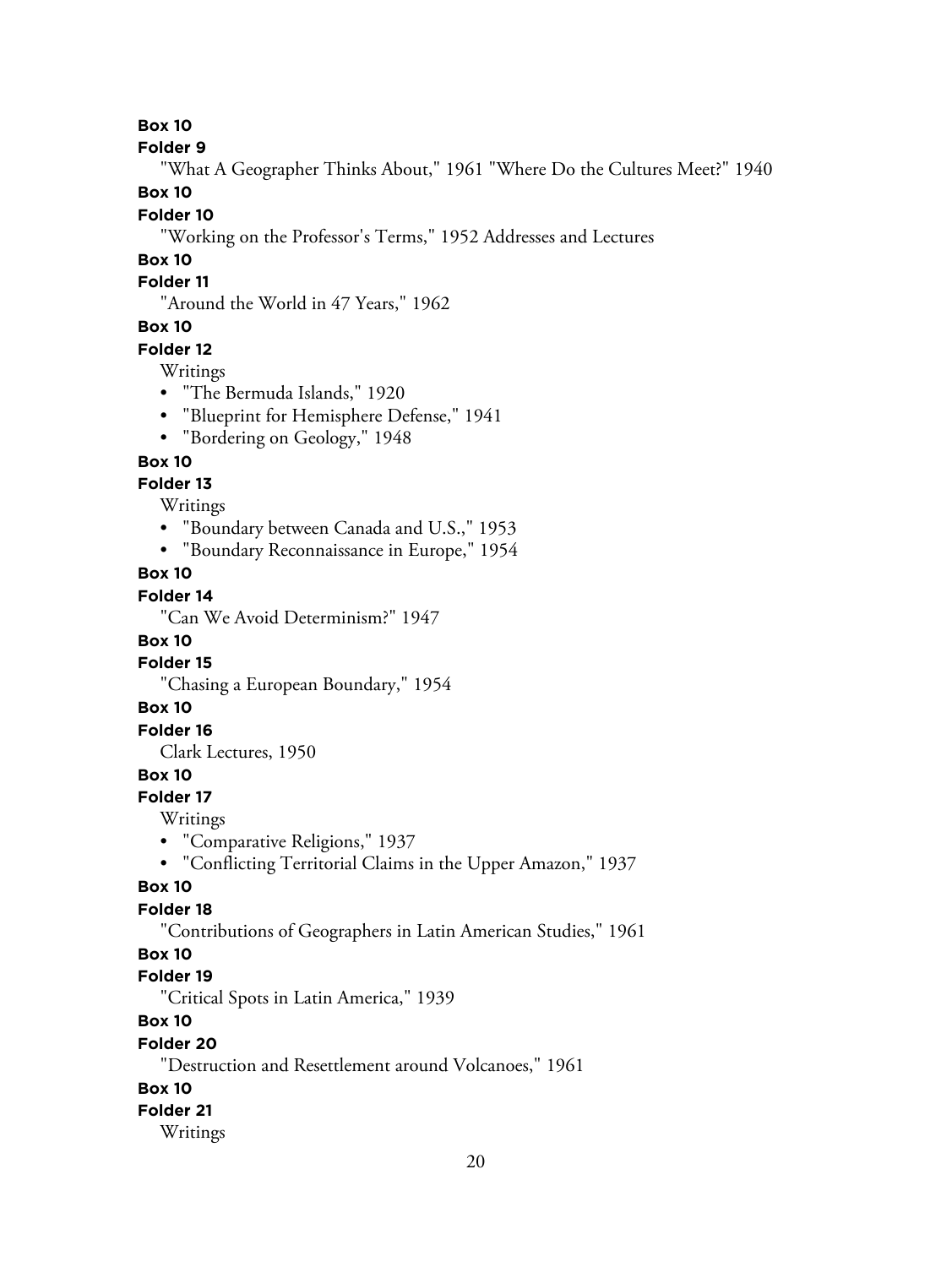**Box 10**

**Folder 9**

"What A Geographer Thinks About," 1961 "Where Do the Cultures Meet?" 1940

**Box 10**

#### **Folder 10**

"Working on the Professor's Terms," 1952 Addresses and Lectures

# **Box 10**

# **Folder 11**

"Around the World in 47 Years," 1962

# **Box 10**

# **Folder 12**

Writings

- "The Bermuda Islands," 1920
- "Blueprint for Hemisphere Defense," 1941
- "Bordering on Geology," 1948

# **Box 10**

# **Folder 13**

Writings

- "Boundary between Canada and U.S.," 1953
- "Boundary Reconnaissance in Europe," 1954

# **Box 10**

# **Folder 14**

"Can We Avoid Determinism?" 1947

## **Box 10**

#### **Folder 15**

"Chasing a European Boundary," 1954

#### **Box 10**

## **Folder 16**

Clark Lectures, 1950

## **Box 10**

#### **Folder 17**

Writings

- "Comparative Religions," 1937
- "Conflicting Territorial Claims in the Upper Amazon," 1937

# **Box 10**

# **Folder 18**

"Contributions of Geographers in Latin American Studies," 1961

# **Box 10**

## **Folder 19**

"Critical Spots in Latin America," 1939

# **Box 10**

#### **Folder 20**

"Destruction and Resettlement around Volcanoes," 1961

# **Box 10**

# **Folder 21**

Writings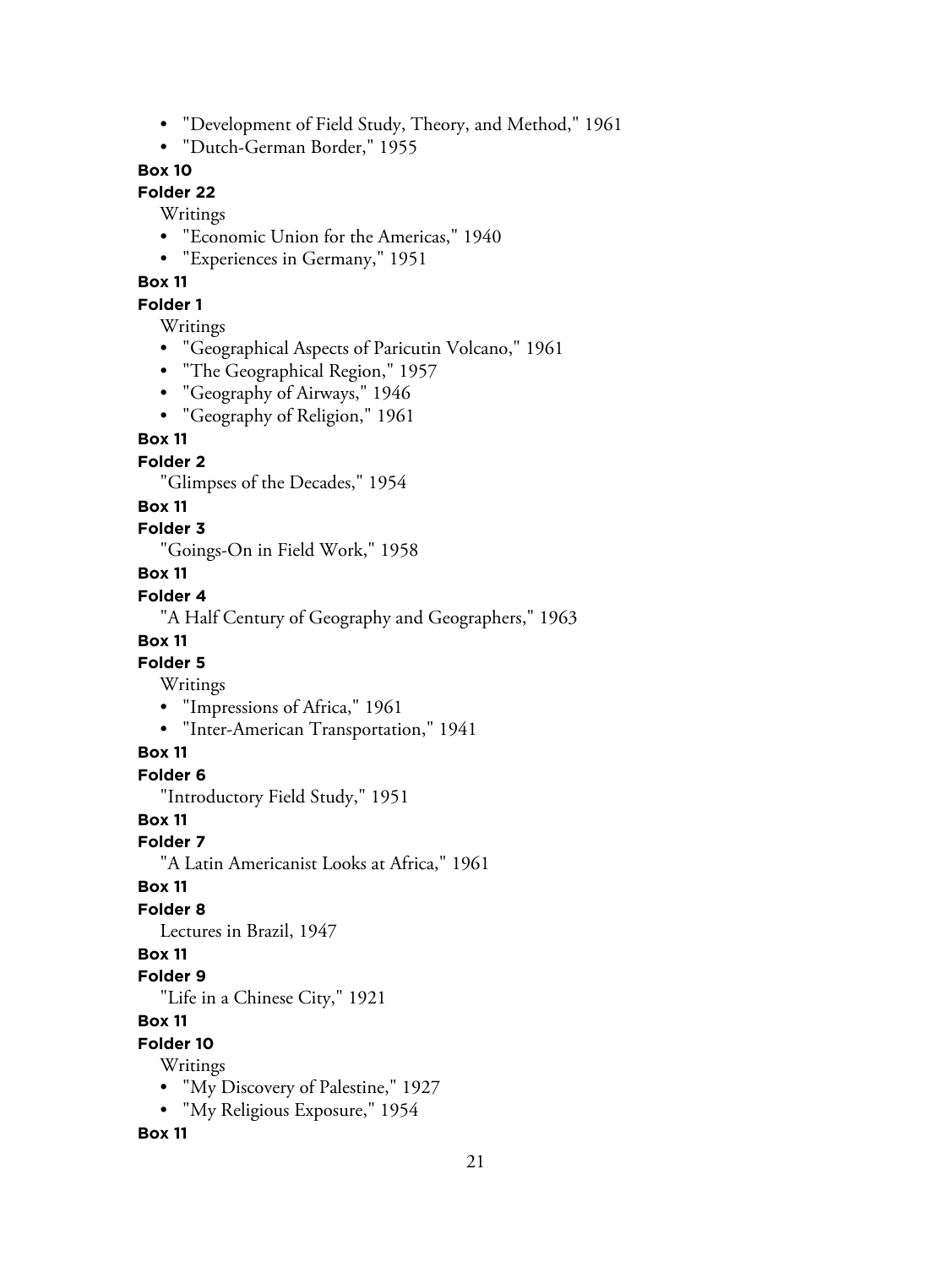- "Development of Field Study, Theory, and Method," 1961
- "Dutch-German Border," 1955

# **Box 10**

# **Folder 22**

Writings

- "Economic Union for the Americas," 1940
- "Experiences in Germany," 1951

#### **Box 11**

## **Folder 1**

Writings

- "Geographical Aspects of Paricutin Volcano," 1961
- "The Geographical Region," 1957
- "Geography of Airways," 1946
- "Geography of Religion," 1961

#### **Box 11**

# **Folder 2**

"Glimpses of the Decades," 1954

#### **Box 11**

**Folder 3**

"Goings-On in Field Work," 1958

#### **Box 11**

#### **Folder 4**

"A Half Century of Geography and Geographers," 1963

#### **Box 11**

#### **Folder 5**

Writings

- "Impressions of Africa," 1961
- "Inter-American Transportation," 1941

#### **Box 11**

**Folder 6**

"Introductory Field Study," 1951

#### **Box 11**

**Folder 7**

"A Latin Americanist Looks at Africa," 1961

#### **Box 11**

# **Folder 8**

Lectures in Brazil, 1947

#### **Box 11**

**Folder 9**

"Life in a Chinese City," 1921

#### **Box 11**

**Folder 10**

Writings

- "My Discovery of Palestine," 1927
- "My Religious Exposure," 1954

#### **Box 11**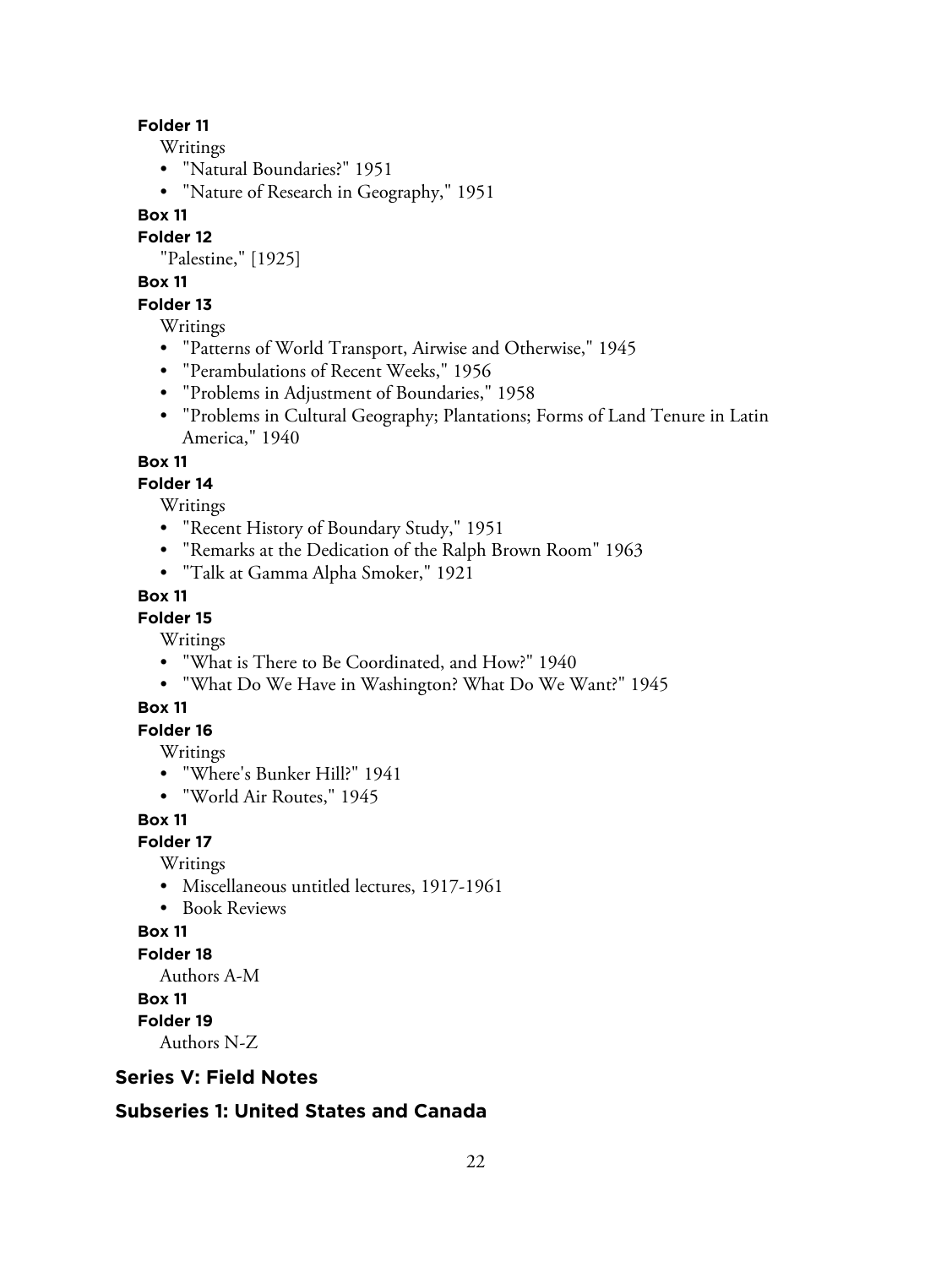#### **Folder 11**

Writings

- "Natural Boundaries?" 1951
- "Nature of Research in Geography," 1951

#### **Box 11**

**Folder 12**

"Palestine," [1925]

# **Box 11**

# **Folder 13**

Writings

- "Patterns of World Transport, Airwise and Otherwise," 1945
- "Perambulations of Recent Weeks," 1956
- "Problems in Adjustment of Boundaries," 1958
- "Problems in Cultural Geography; Plantations; Forms of Land Tenure in Latin America," 1940

#### **Box 11**

#### **Folder 14**

Writings

- "Recent History of Boundary Study," 1951
- "Remarks at the Dedication of the Ralph Brown Room" 1963
- "Talk at Gamma Alpha Smoker," 1921

#### **Box 11**

#### **Folder 15**

Writings

- "What is There to Be Coordinated, and How?" 1940
- "What Do We Have in Washington? What Do We Want?" 1945

#### **Box 11**

# **Folder 16**

Writings

- "Where's Bunker Hill?" 1941
- "World Air Routes," 1945

#### **Box 11**

**Folder 17**

Writings

- Miscellaneous untitled lectures, 1917-1961
- Book Reviews

#### **Box 11**

#### **Folder 18**

Authors A-M

#### **Box 11**

**Folder 19**

Authors N-Z

#### **Series V: Field Notes**

## **Subseries 1: United States and Canada**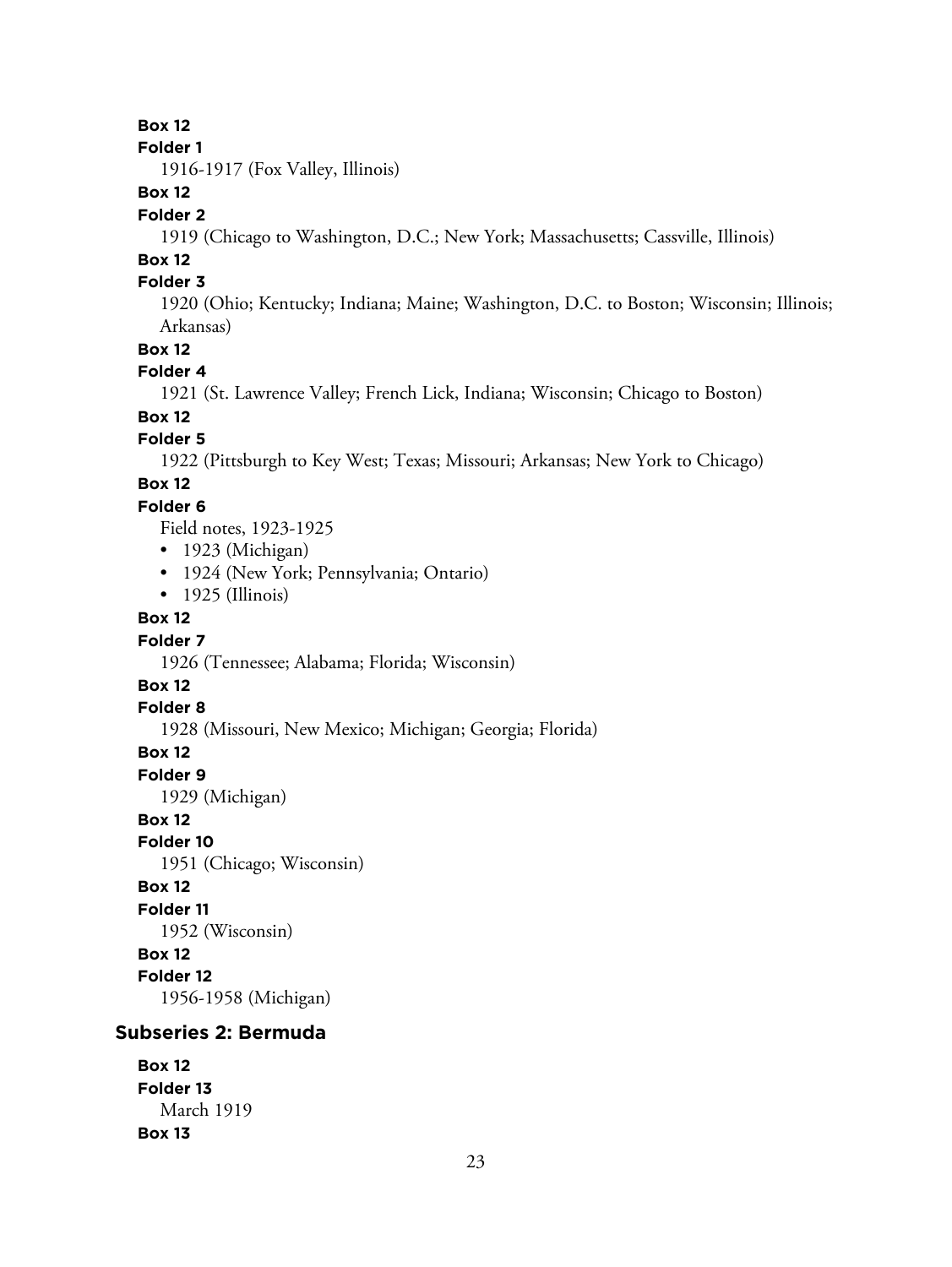# **Box 12**

#### **Folder 1**

1916-1917 (Fox Valley, Illinois)

# **Box 12**

#### **Folder 2**

1919 (Chicago to Washington, D.C.; New York; Massachusetts; Cassville, Illinois)

# **Box 12**

## **Folder 3**

1920 (Ohio; Kentucky; Indiana; Maine; Washington, D.C. to Boston; Wisconsin; Illinois; Arkansas)

#### **Box 12**

#### **Folder 4**

1921 (St. Lawrence Valley; French Lick, Indiana; Wisconsin; Chicago to Boston)

# **Box 12**

#### **Folder 5**

1922 (Pittsburgh to Key West; Texas; Missouri; Arkansas; New York to Chicago)

# **Box 12**

#### **Folder 6**

Field notes, 1923-1925

- 1923 (Michigan)
- 1924 (New York; Pennsylvania; Ontario)
- 1925 (Illinois)

#### **Box 12**

#### **Folder 7**

1926 (Tennessee; Alabama; Florida; Wisconsin)

#### **Box 12**

#### **Folder 8**

1928 (Missouri, New Mexico; Michigan; Georgia; Florida)

#### **Box 12**

**Folder 9**

1929 (Michigan)

#### **Box 12**

**Folder 10**

1951 (Chicago; Wisconsin)

# **Box 12**

**Folder 11**

1952 (Wisconsin)

# **Box 12**

**Folder 12**

1956-1958 (Michigan)

## **Subseries 2: Bermuda**

```
Box 12
Folder 13
  March 1919
Box 13
```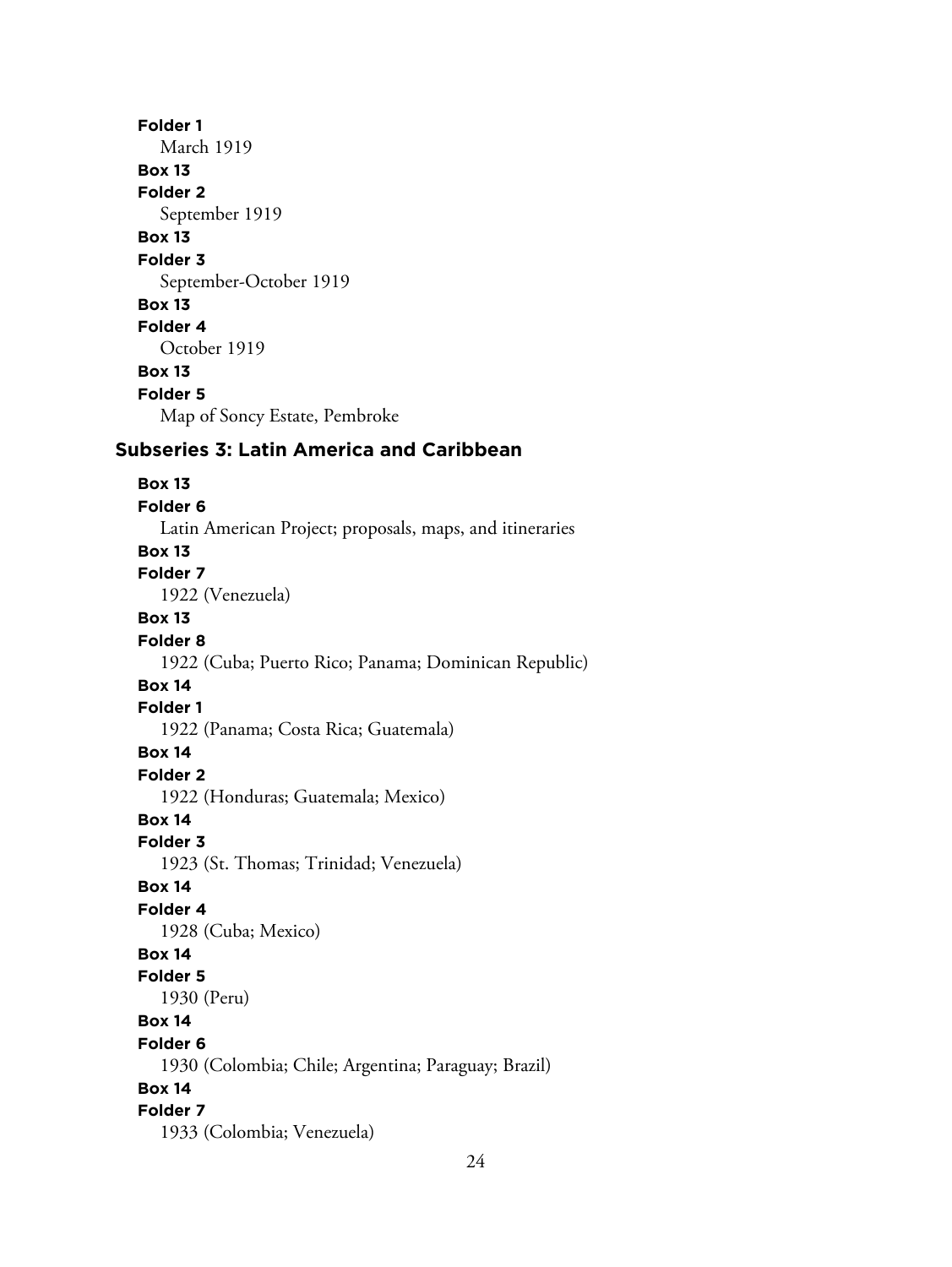#### **Folder 1**

March 1919

# **Box 13**

**Folder 2**

# September 1919

**Box 13**

# **Folder 3**

September-October 1919

# **Box 13**

# **Folder 4**

October 1919

# **Box 13**

**Folder 5**

Map of Soncy Estate, Pembroke

# **Subseries 3: Latin America and Caribbean**

#### **Box 13**

**Folder 6** Latin American Project; proposals, maps, and itineraries **Box 13 Folder 7** 1922 (Venezuela) **Box 13 Folder 8** 1922 (Cuba; Puerto Rico; Panama; Dominican Republic) **Box 14 Folder 1** 1922 (Panama; Costa Rica; Guatemala) **Box 14 Folder 2** 1922 (Honduras; Guatemala; Mexico) **Box 14 Folder 3** 1923 (St. Thomas; Trinidad; Venezuela) **Box 14 Folder 4** 1928 (Cuba; Mexico) **Box 14 Folder 5** 1930 (Peru) **Box 14 Folder 6** 1930 (Colombia; Chile; Argentina; Paraguay; Brazil) **Box 14 Folder 7** 1933 (Colombia; Venezuela)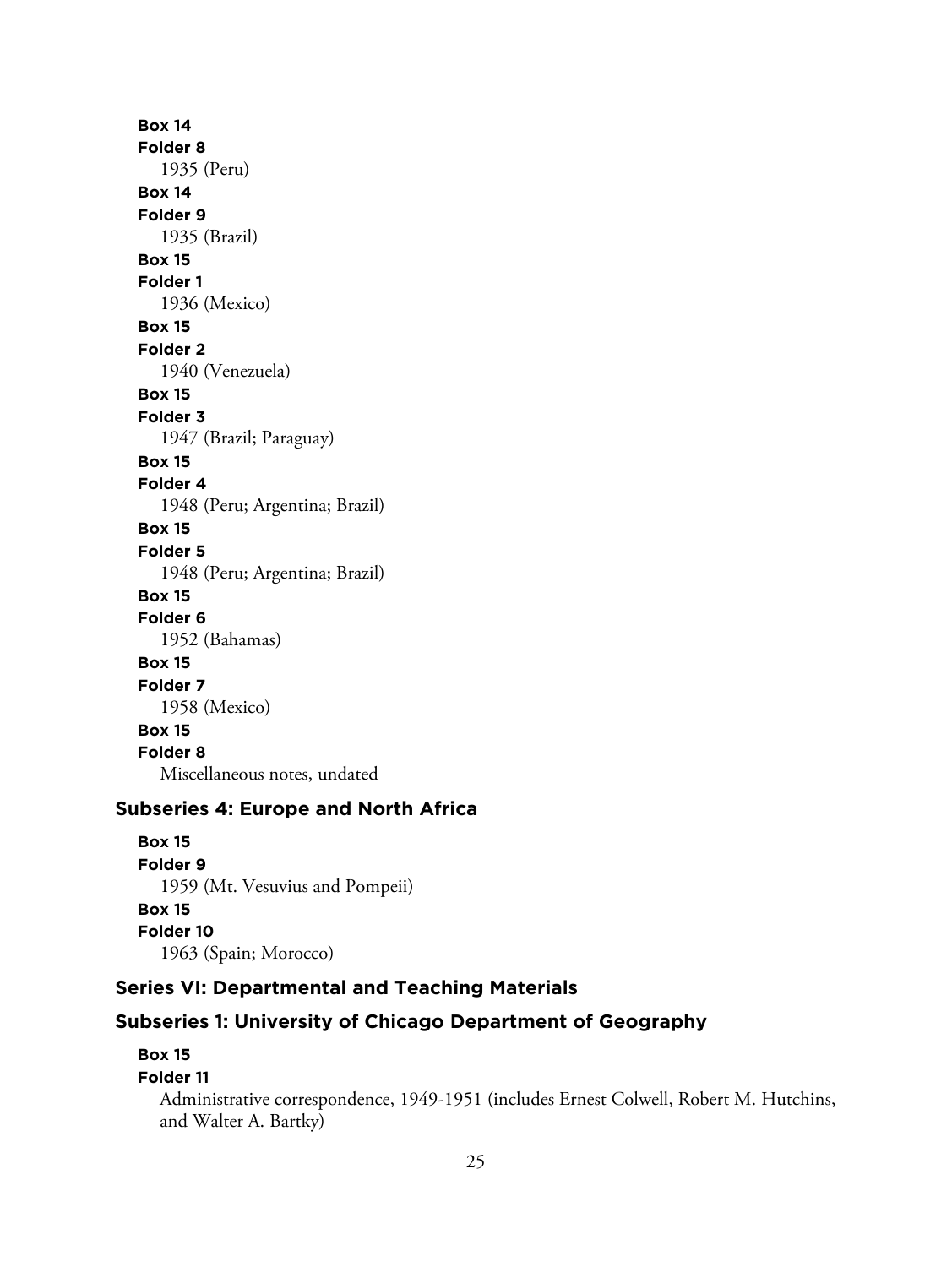**Box 14 Folder 8** 1935 (Peru) **Box 14 Folder 9** 1935 (Brazil) **Box 15 Folder 1** 1936 (Mexico) **Box 15 Folder 2** 1940 (Venezuela) **Box 15 Folder 3** 1947 (Brazil; Paraguay) **Box 15 Folder 4** 1948 (Peru; Argentina; Brazil) **Box 15 Folder 5** 1948 (Peru; Argentina; Brazil) **Box 15 Folder 6** 1952 (Bahamas) **Box 15 Folder 7** 1958 (Mexico) **Box 15 Folder 8** Miscellaneous notes, undated

# **Subseries 4: Europe and North Africa**

**Box 15 Folder 9** 1959 (Mt. Vesuvius and Pompeii) **Box 15 Folder 10** 1963 (Spain; Morocco)

# **Series VI: Departmental and Teaching Materials**

# **Subseries 1: University of Chicago Department of Geography**

# **Box 15**

#### **Folder 11**

Administrative correspondence, 1949-1951 (includes Ernest Colwell, Robert M. Hutchins, and Walter A. Bartky)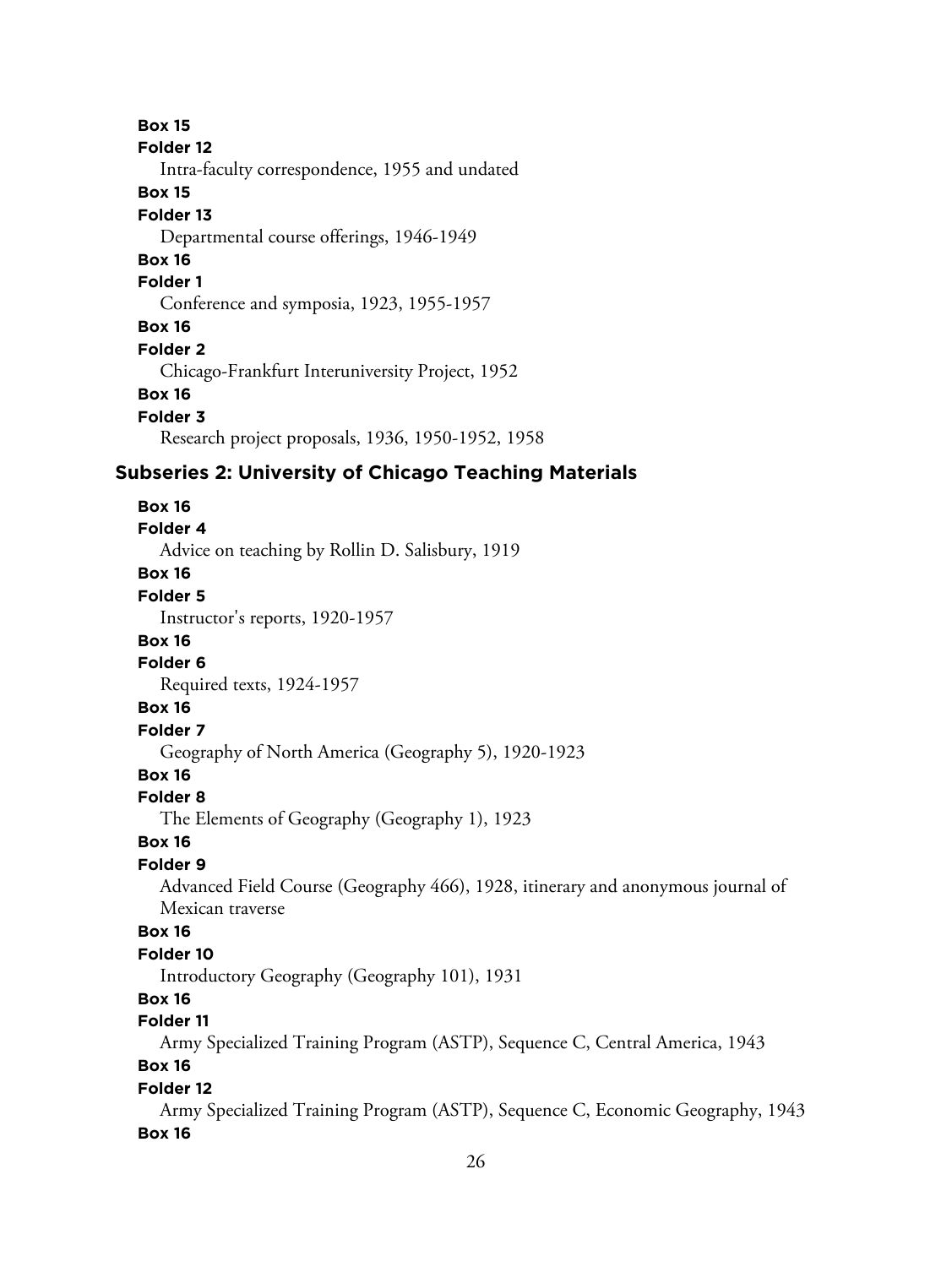**Box 15 Folder 12** Intra-faculty correspondence, 1955 and undated **Box 15 Folder 13** Departmental course offerings, 1946-1949 **Box 16 Folder 1** Conference and symposia, 1923, 1955-1957 **Box 16 Folder 2** Chicago-Frankfurt Interuniversity Project, 1952 **Box 16 Folder 3** Research project proposals, 1936, 1950-1952, 1958 **Subseries 2: University of Chicago Teaching Materials Box 16 Folder 4** Advice on teaching by Rollin D. Salisbury, 1919 **Box 16 Folder 5** Instructor's reports, 1920-1957 **Box 16 Folder 6** Required texts, 1924-1957 **Box 16 Folder 7** Geography of North America (Geography 5), 1920-1923 **Box 16 Folder 8** The Elements of Geography (Geography 1), 1923 **Box 16 Folder 9** Advanced Field Course (Geography 466), 1928, itinerary and anonymous journal of Mexican traverse **Box 16 Folder 10** Introductory Geography (Geography 101), 1931 **Box 16 Folder 11** Army Specialized Training Program (ASTP), Sequence C, Central America, 1943 **Box 16 Folder 12** Army Specialized Training Program (ASTP), Sequence C, Economic Geography, 1943 **Box 16**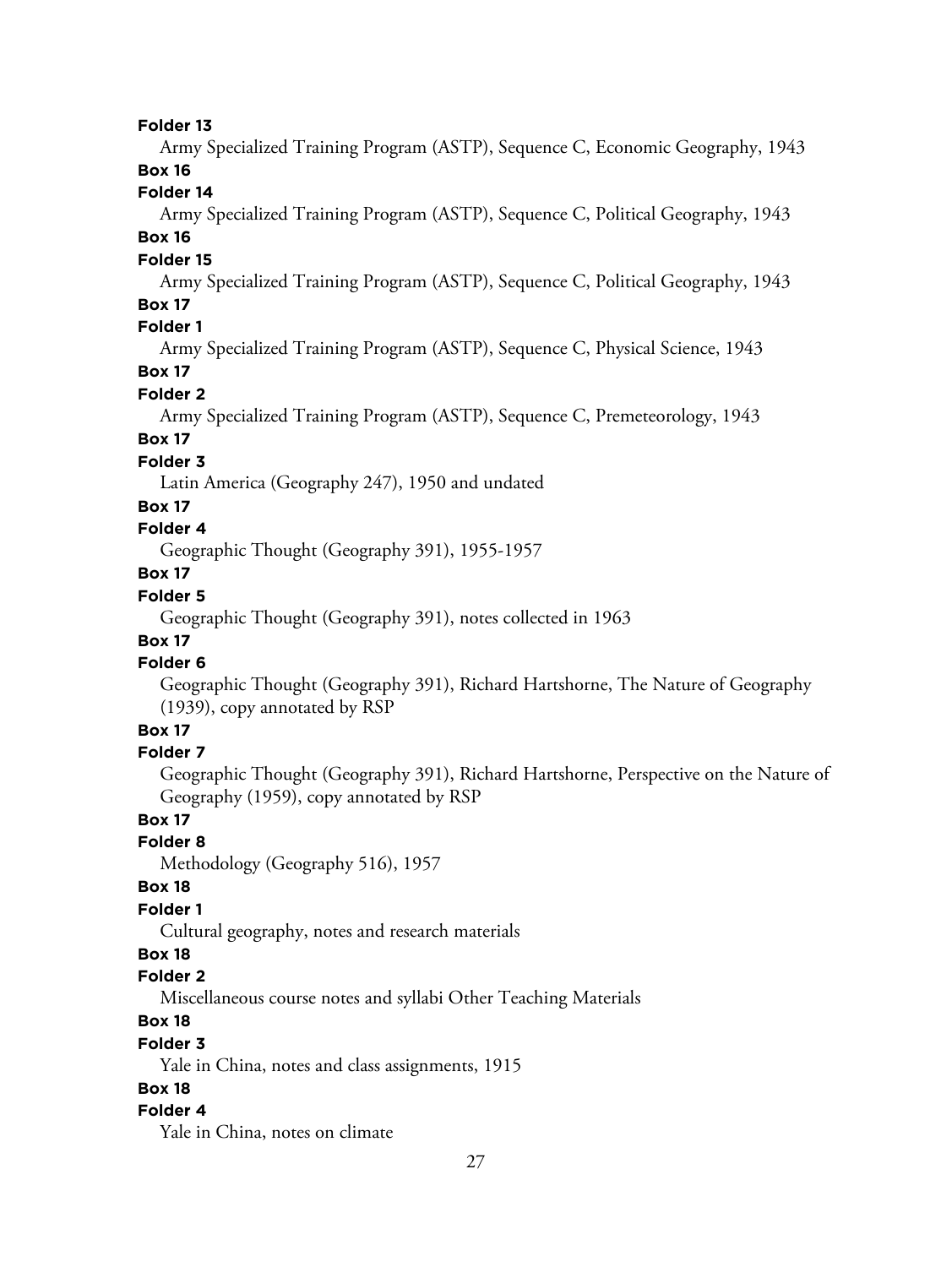#### **Folder 13**

Army Specialized Training Program (ASTP), Sequence C, Economic Geography, 1943

# **Box 16**

# **Folder 14**

Army Specialized Training Program (ASTP), Sequence C, Political Geography, 1943

# **Box 16**

# **Folder 15**

Army Specialized Training Program (ASTP), Sequence C, Political Geography, 1943 **Box 17**

#### **Folder 1**

Army Specialized Training Program (ASTP), Sequence C, Physical Science, 1943

# **Box 17**

#### **Folder 2**

Army Specialized Training Program (ASTP), Sequence C, Premeteorology, 1943

# **Box 17**

# **Folder 3**

Latin America (Geography 247), 1950 and undated

#### **Box 17**

# **Folder 4**

Geographic Thought (Geography 391), 1955-1957

# **Box 17**

# **Folder 5**

Geographic Thought (Geography 391), notes collected in 1963

# **Box 17**

# **Folder 6**

Geographic Thought (Geography 391), Richard Hartshorne, The Nature of Geography (1939), copy annotated by RSP

# **Box 17**

#### **Folder 7**

Geographic Thought (Geography 391), Richard Hartshorne, Perspective on the Nature of Geography (1959), copy annotated by RSP

# **Box 17**

# **Folder 8**

Methodology (Geography 516), 1957

# **Box 18**

# **Folder 1**

Cultural geography, notes and research materials

# **Box 18**

# **Folder 2**

Miscellaneous course notes and syllabi Other Teaching Materials

#### **Box 18**

#### **Folder 3**

Yale in China, notes and class assignments, 1915

#### **Box 18**

#### **Folder 4**

Yale in China, notes on climate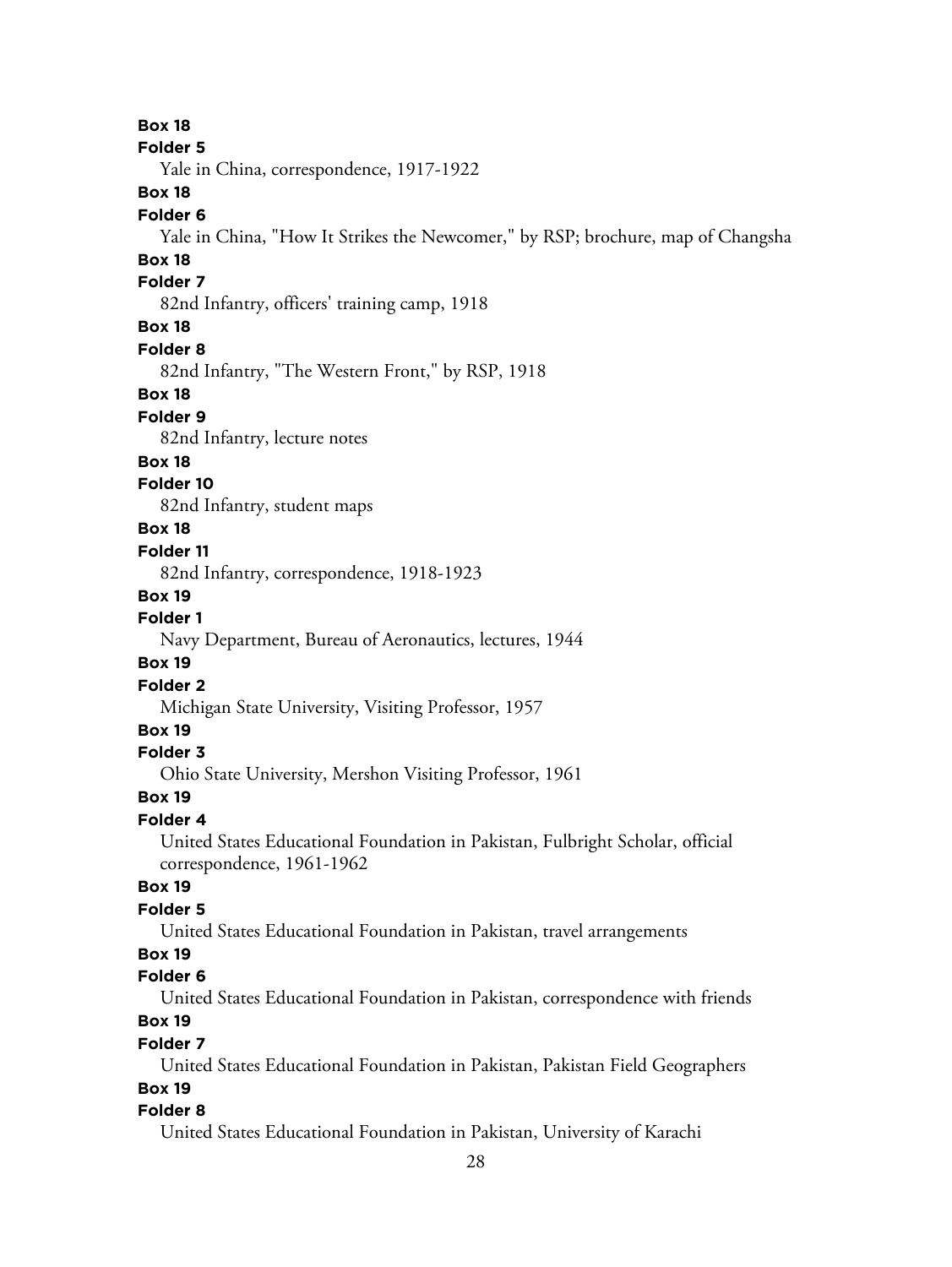**Folder 5** Yale in China, correspondence, 1917-1922 **Box 18 Folder 6** Yale in China, "How It Strikes the Newcomer," by RSP; brochure, map of Changsha **Box 18 Folder 7** 82nd Infantry, officers' training camp, 1918 **Box 18 Folder 8** 82nd Infantry, "The Western Front," by RSP, 1918 **Box 18 Folder 9** 82nd Infantry, lecture notes **Box 18 Folder 10** 82nd Infantry, student maps **Box 18 Folder 11** 82nd Infantry, correspondence, 1918-1923 **Box 19 Folder 1** Navy Department, Bureau of Aeronautics, lectures, 1944 **Box 19 Folder 2** Michigan State University, Visiting Professor, 1957 **Box 19 Folder 3** Ohio State University, Mershon Visiting Professor, 1961 **Box 19 Folder 4** United States Educational Foundation in Pakistan, Fulbright Scholar, official correspondence, 1961-1962 **Box 19 Folder 5** United States Educational Foundation in Pakistan, travel arrangements **Box 19 Folder 6** United States Educational Foundation in Pakistan, correspondence with friends **Box 19 Folder 7**

**Box 18**

United States Educational Foundation in Pakistan, Pakistan Field Geographers **Box 19**

#### **Folder 8**

United States Educational Foundation in Pakistan, University of Karachi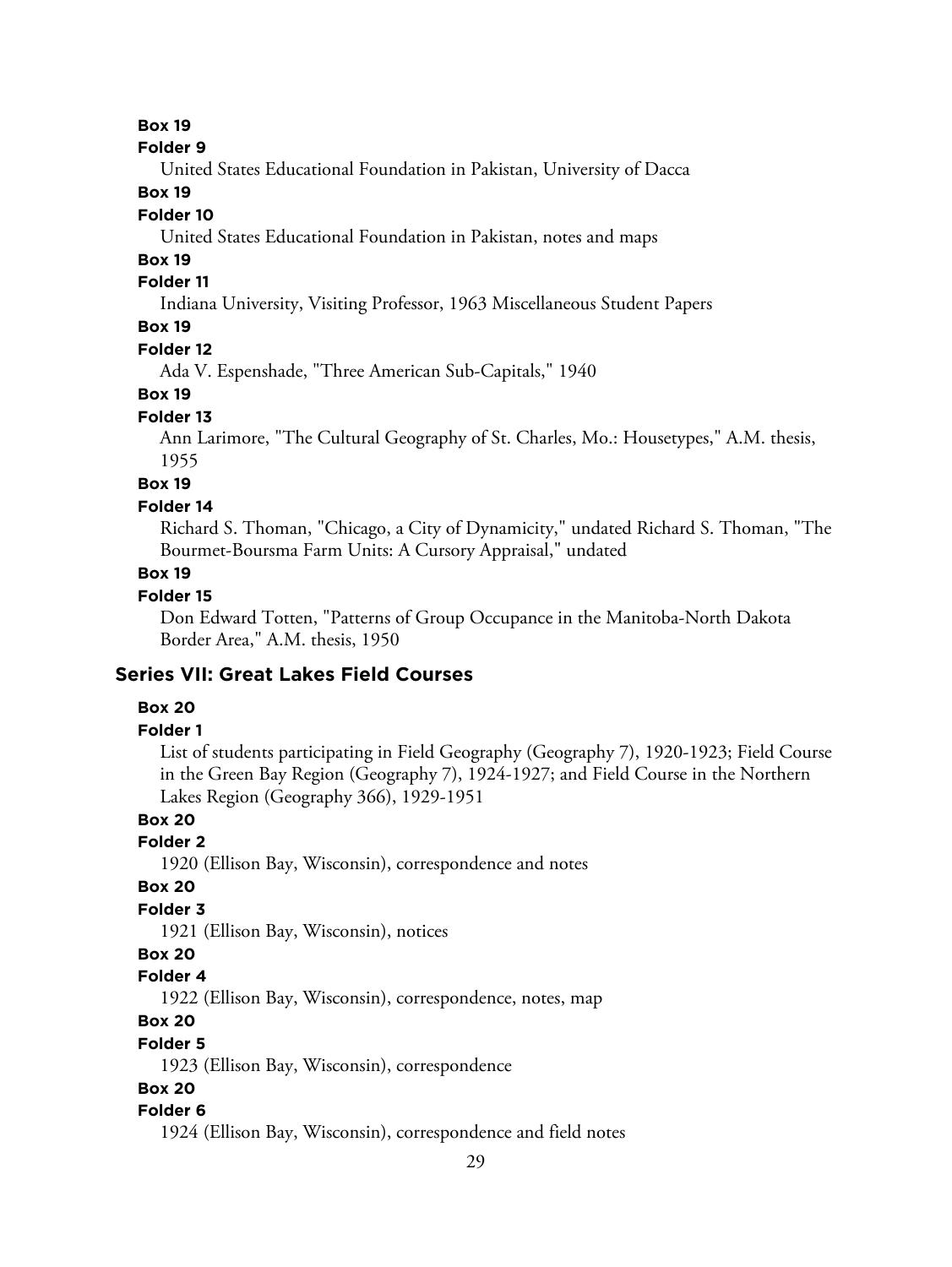**Box 19**

#### **Folder 9**

United States Educational Foundation in Pakistan, University of Dacca

#### **Box 19**

#### **Folder 10**

United States Educational Foundation in Pakistan, notes and maps

# **Box 19**

#### **Folder 11**

Indiana University, Visiting Professor, 1963 Miscellaneous Student Papers

# **Box 19**

#### **Folder 12**

Ada V. Espenshade, "Three American Sub-Capitals," 1940

#### **Box 19**

#### **Folder 13**

Ann Larimore, "The Cultural Geography of St. Charles, Mo.: Housetypes," A.M. thesis, 1955

# **Box 19**

#### **Folder 14**

Richard S. Thoman, "Chicago, a City of Dynamicity," undated Richard S. Thoman, "The Bourmet-Boursma Farm Units: A Cursory Appraisal," undated

## **Box 19**

#### **Folder 15**

Don Edward Totten, "Patterns of Group Occupance in the Manitoba-North Dakota Border Area," A.M. thesis, 1950

## **Series VII: Great Lakes Field Courses**

#### **Box 20**

# **Folder 1**

List of students participating in Field Geography (Geography 7), 1920-1923; Field Course in the Green Bay Region (Geography 7), 1924-1927; and Field Course in the Northern Lakes Region (Geography 366), 1929-1951

# **Box 20**

# **Folder 2**

1920 (Ellison Bay, Wisconsin), correspondence and notes

#### **Box 20**

# **Folder 3**

1921 (Ellison Bay, Wisconsin), notices

# **Box 20**

#### **Folder 4**

1922 (Ellison Bay, Wisconsin), correspondence, notes, map

# **Box 20**

#### **Folder 5**

1923 (Ellison Bay, Wisconsin), correspondence

#### **Box 20**

#### **Folder 6**

1924 (Ellison Bay, Wisconsin), correspondence and field notes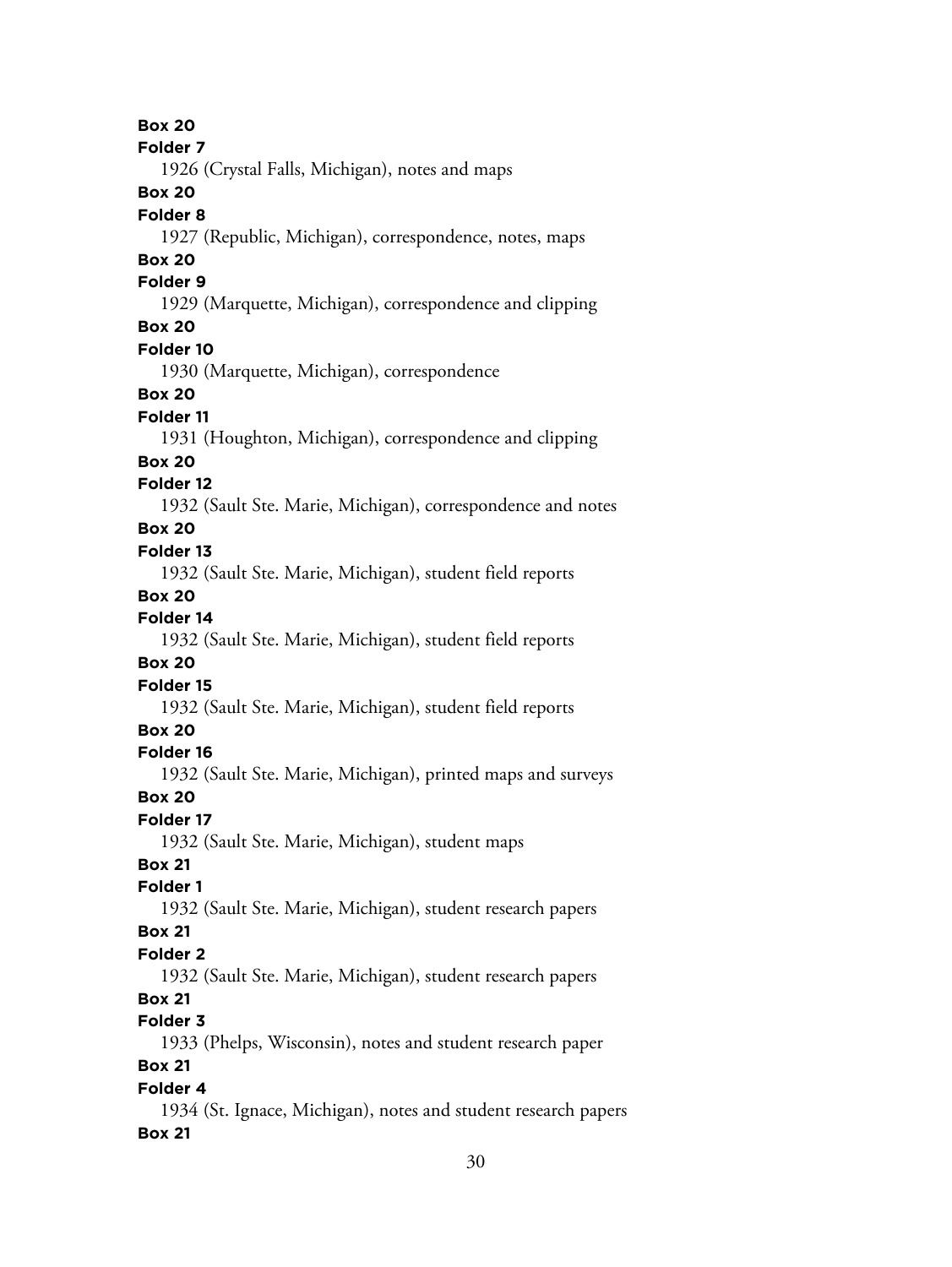30 **Box 20 Folder 7** 1926 (Crystal Falls, Michigan), notes and maps **Box 20 Folder 8** 1927 (Republic, Michigan), correspondence, notes, maps **Box 20 Folder 9** 1929 (Marquette, Michigan), correspondence and clipping **Box 20 Folder 10** 1930 (Marquette, Michigan), correspondence **Box 20 Folder 11** 1931 (Houghton, Michigan), correspondence and clipping **Box 20 Folder 12** 1932 (Sault Ste. Marie, Michigan), correspondence and notes **Box 20 Folder 13** 1932 (Sault Ste. Marie, Michigan), student field reports **Box 20 Folder 14** 1932 (Sault Ste. Marie, Michigan), student field reports **Box 20 Folder 15** 1932 (Sault Ste. Marie, Michigan), student field reports **Box 20 Folder 16** 1932 (Sault Ste. Marie, Michigan), printed maps and surveys **Box 20 Folder 17** 1932 (Sault Ste. Marie, Michigan), student maps **Box 21 Folder 1** 1932 (Sault Ste. Marie, Michigan), student research papers **Box 21 Folder 2** 1932 (Sault Ste. Marie, Michigan), student research papers **Box 21 Folder 3** 1933 (Phelps, Wisconsin), notes and student research paper **Box 21 Folder 4** 1934 (St. Ignace, Michigan), notes and student research papers **Box 21**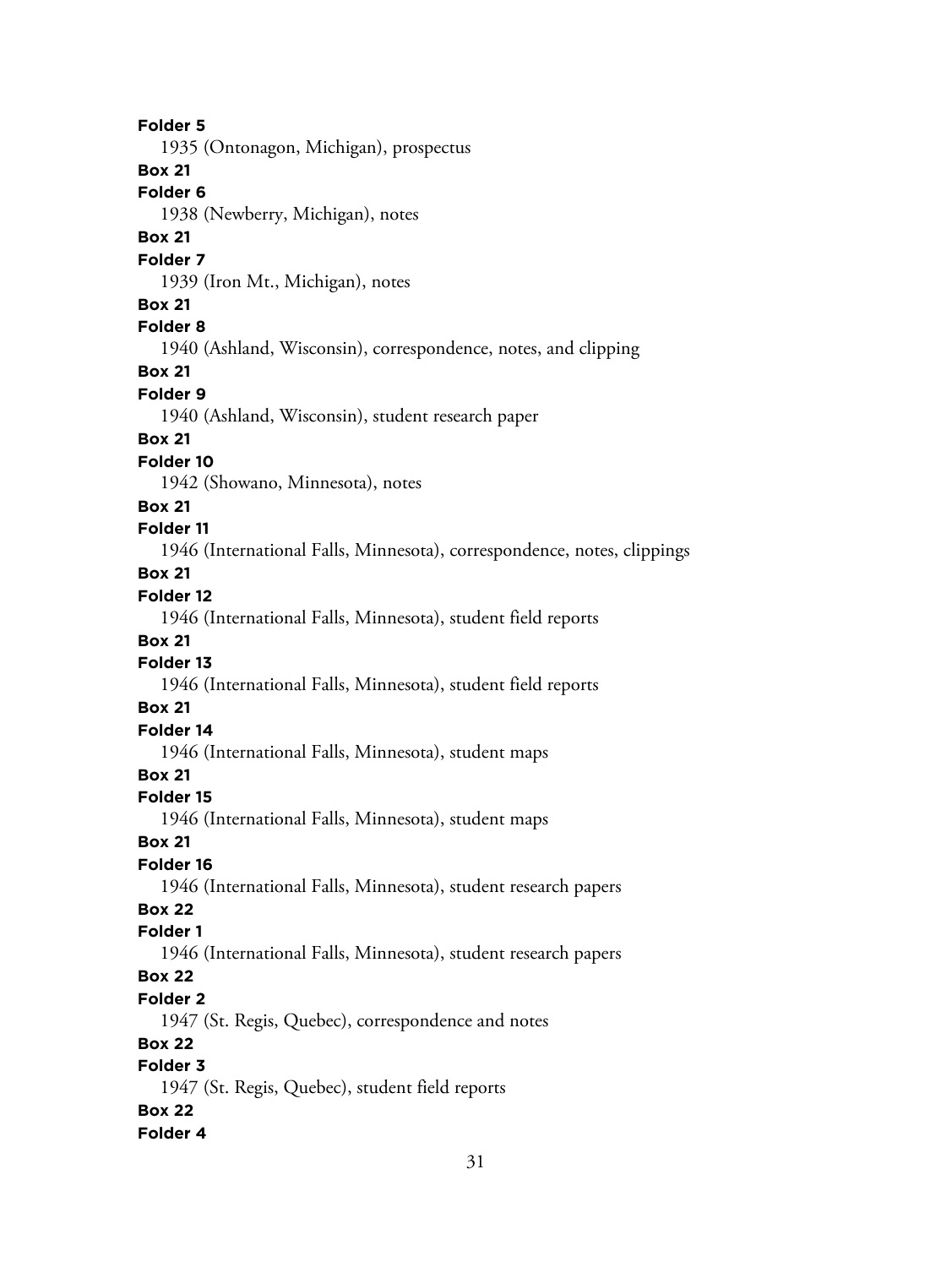**Folder 5** 1935 (Ontonagon, Michigan), prospectus **Box 21 Folder 6** 1938 (Newberry, Michigan), notes **Box 21 Folder 7** 1939 (Iron Mt., Michigan), notes **Box 21 Folder 8** 1940 (Ashland, Wisconsin), correspondence, notes, and clipping **Box 21 Folder 9** 1940 (Ashland, Wisconsin), student research paper **Box 21 Folder 10** 1942 (Showano, Minnesota), notes **Box 21 Folder 11** 1946 (International Falls, Minnesota), correspondence, notes, clippings **Box 21 Folder 12** 1946 (International Falls, Minnesota), student field reports **Box 21 Folder 13** 1946 (International Falls, Minnesota), student field reports **Box 21 Folder 14** 1946 (International Falls, Minnesota), student maps **Box 21 Folder 15** 1946 (International Falls, Minnesota), student maps **Box 21 Folder 16** 1946 (International Falls, Minnesota), student research papers **Box 22 Folder 1** 1946 (International Falls, Minnesota), student research papers **Box 22 Folder 2** 1947 (St. Regis, Quebec), correspondence and notes **Box 22 Folder 3** 1947 (St. Regis, Quebec), student field reports **Box 22 Folder 4**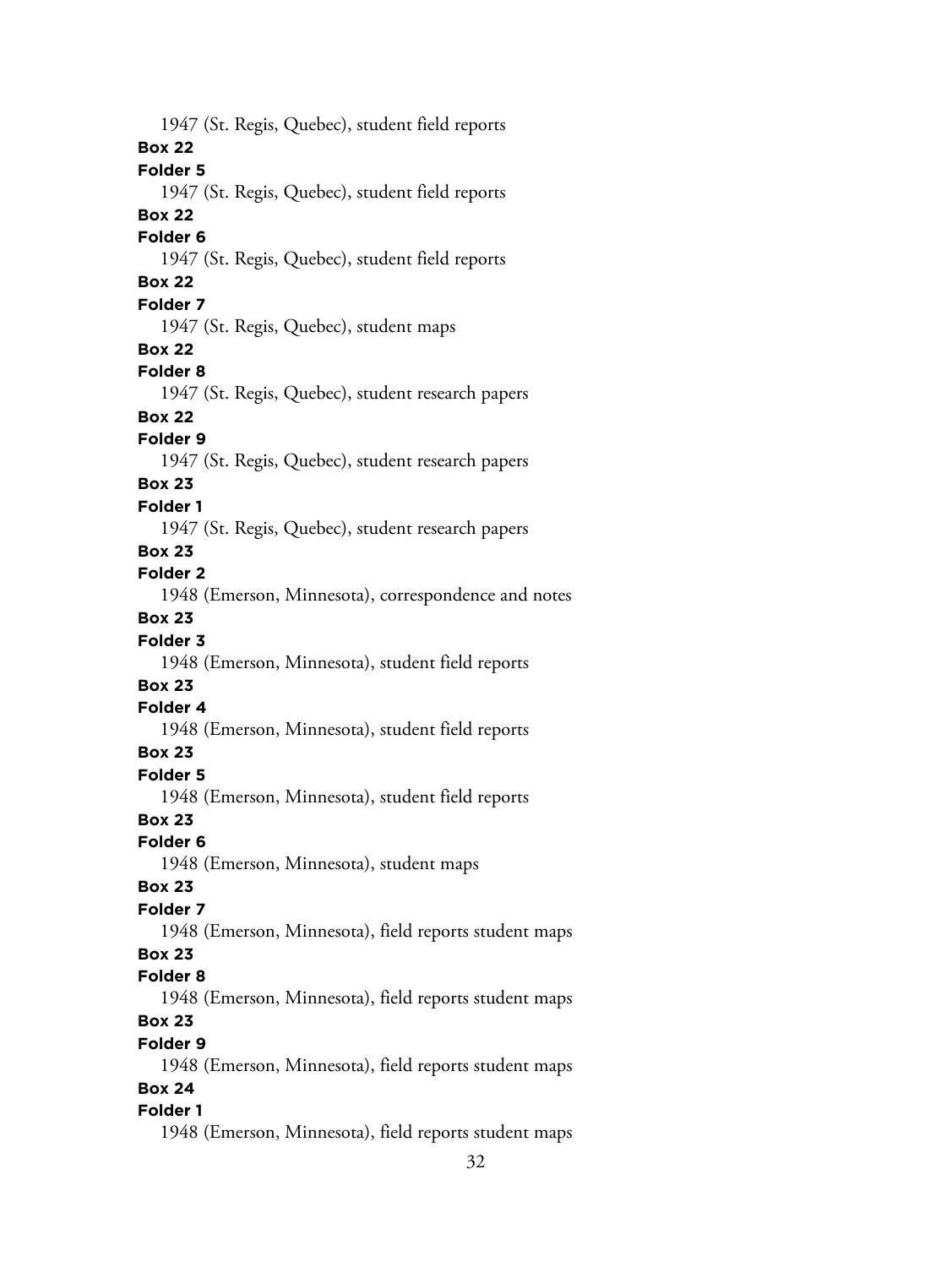1947 (St. Regis, Quebec), student field reports **Box 22 Folder 5** 1947 (St. Regis, Quebec), student field reports **Box 22 Folder 6** 1947 (St. Regis, Quebec), student field reports **Box 22 Folder 7** 1947 (St. Regis, Quebec), student maps **Box 22 Folder 8** 1947 (St. Regis, Quebec), student research papers **Box 22 Folder 9** 1947 (St. Regis, Quebec), student research papers **Box 23 Folder 1** 1947 (St. Regis, Quebec), student research papers **Box 23 Folder 2** 1948 (Emerson, Minnesota), correspondence and notes **Box 23 Folder 3** 1948 (Emerson, Minnesota), student field reports **Box 23 Folder 4** 1948 (Emerson, Minnesota), student field reports **Box 23 Folder 5** 1948 (Emerson, Minnesota), student field reports **Box 23 Folder 6** 1948 (Emerson, Minnesota), student maps **Box 23 Folder 7** 1948 (Emerson, Minnesota), field reports student maps **Box 23 Folder 8** 1948 (Emerson, Minnesota), field reports student maps **Box 23 Folder 9** 1948 (Emerson, Minnesota), field reports student maps **Box 24 Folder 1** 1948 (Emerson, Minnesota), field reports student maps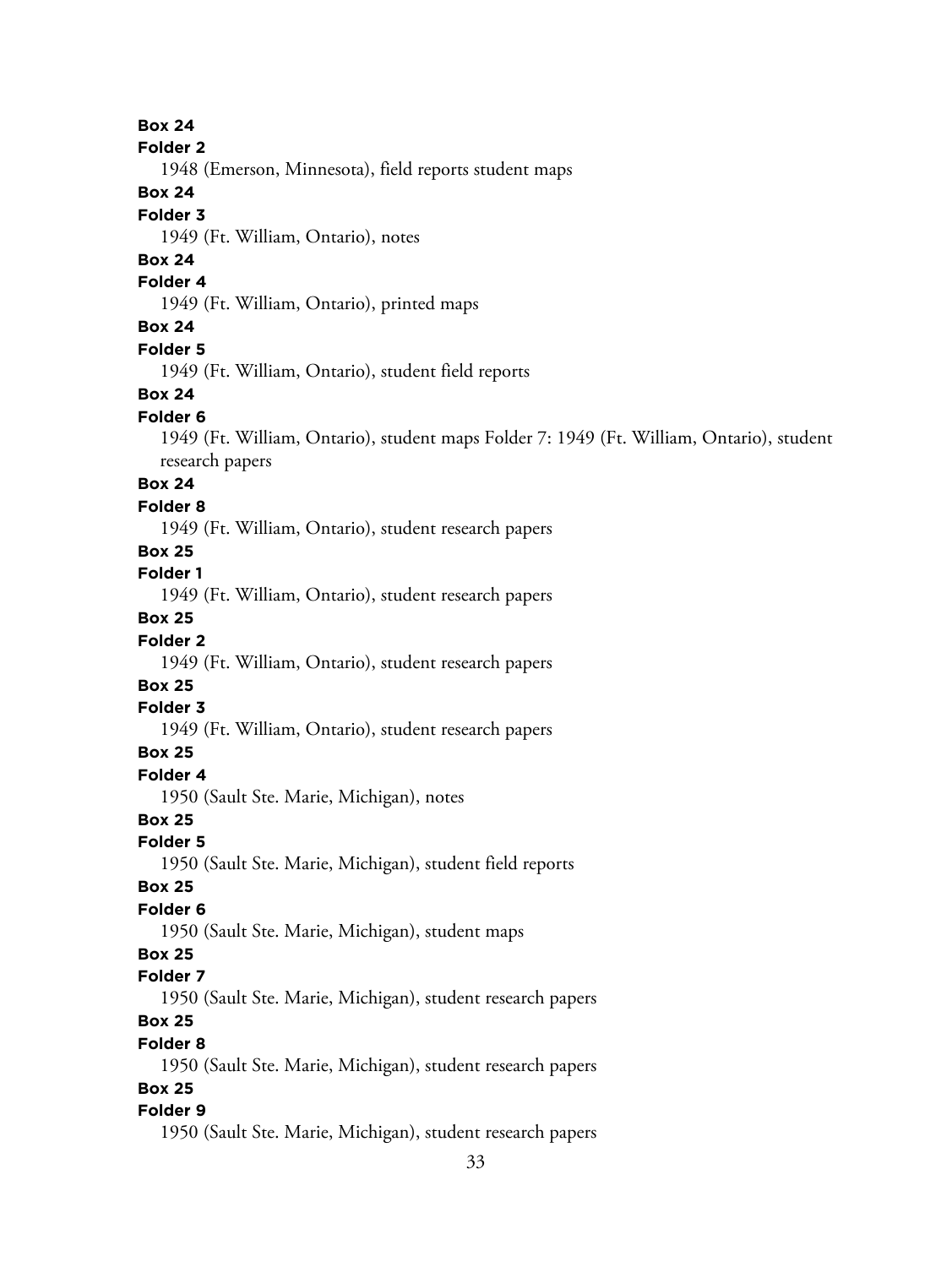**Box 24**

**Folder 2**

1948 (Emerson, Minnesota), field reports student maps

#### **Box 24**

#### **Folder 3**

1949 (Ft. William, Ontario), notes

# **Box 24**

# **Folder 4**

1949 (Ft. William, Ontario), printed maps

# **Box 24**

#### **Folder 5**

1949 (Ft. William, Ontario), student field reports

#### **Box 24**

# **Folder 6**

1949 (Ft. William, Ontario), student maps Folder 7: 1949 (Ft. William, Ontario), student research papers

# **Box 24**

#### **Folder 8**

1949 (Ft. William, Ontario), student research papers

# **Box 25**

# **Folder 1**

1949 (Ft. William, Ontario), student research papers

# **Box 25**

# **Folder 2**

1949 (Ft. William, Ontario), student research papers

# **Box 25**

# **Folder 3**

1949 (Ft. William, Ontario), student research papers

# **Box 25**

#### **Folder 4**

1950 (Sault Ste. Marie, Michigan), notes

#### **Box 25**

#### **Folder 5**

1950 (Sault Ste. Marie, Michigan), student field reports

#### **Box 25**

# **Folder 6**

1950 (Sault Ste. Marie, Michigan), student maps

# **Box 25**

## **Folder 7**

1950 (Sault Ste. Marie, Michigan), student research papers

# **Box 25**

#### **Folder 8**

1950 (Sault Ste. Marie, Michigan), student research papers

# **Box 25**

# **Folder 9**

1950 (Sault Ste. Marie, Michigan), student research papers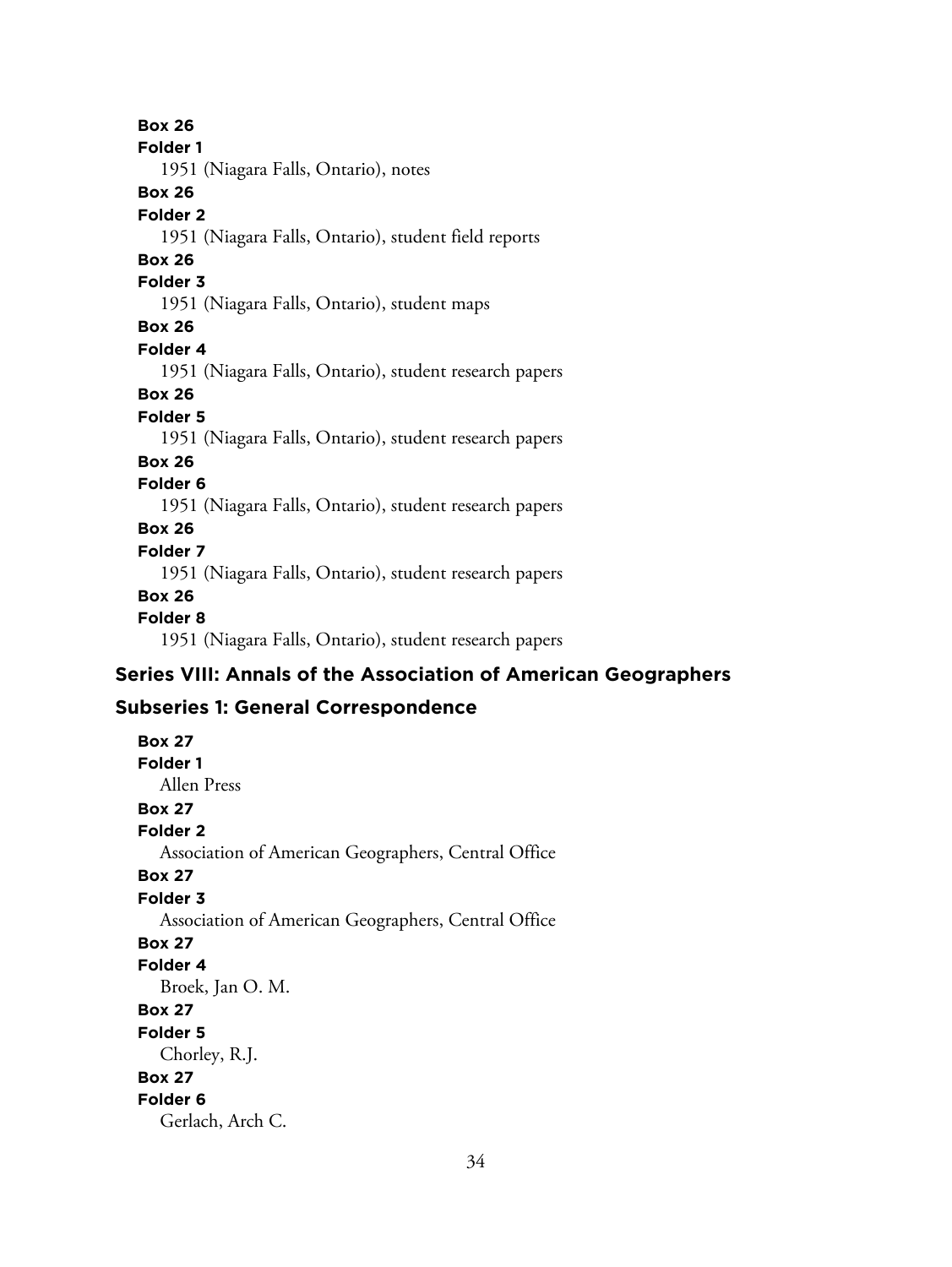**Box 26 Folder 1** 1951 (Niagara Falls, Ontario), notes **Box 26 Folder 2** 1951 (Niagara Falls, Ontario), student field reports **Box 26 Folder 3** 1951 (Niagara Falls, Ontario), student maps **Box 26 Folder 4** 1951 (Niagara Falls, Ontario), student research papers **Box 26 Folder 5** 1951 (Niagara Falls, Ontario), student research papers **Box 26 Folder 6** 1951 (Niagara Falls, Ontario), student research papers **Box 26 Folder 7** 1951 (Niagara Falls, Ontario), student research papers **Box 26 Folder 8** 1951 (Niagara Falls, Ontario), student research papers

# **Series VIII: Annals of the Association of American Geographers**

# **Subseries 1: General Correspondence**

**Box 27 Folder 1** Allen Press **Box 27 Folder 2** Association of American Geographers, Central Office **Box 27 Folder 3** Association of American Geographers, Central Office **Box 27 Folder 4** Broek, Jan O. M. **Box 27 Folder 5** Chorley, R.J. **Box 27 Folder 6** Gerlach, Arch C.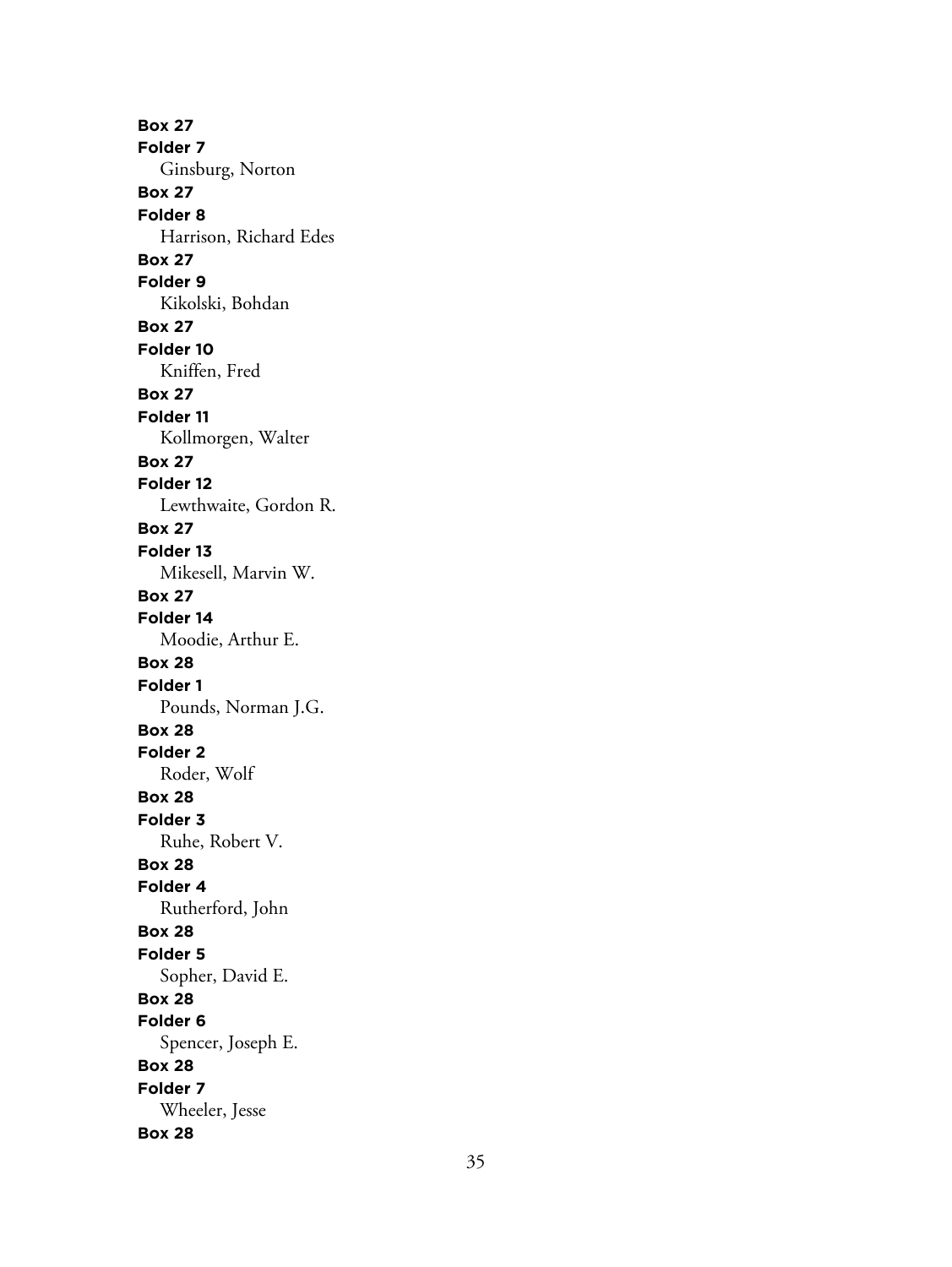**Box 27 Folder 7** Ginsburg, Norton **Box 27 Folder 8** Harrison, Richard Edes **Box 27 Folder 9** Kikolski, Bohdan **Box 27 Folder 10** Kniffen, Fred **Box 27 Folder 11** Kollmorgen, Walter **Box 27 Folder 12** Lewthwaite, Gordon R. **Box 27 Folder 13** Mikesell, Marvin W. **Box 27 Folder 14** Moodie, Arthur E. **Box 28 Folder 1** Pounds, Norman J.G. **Box 28 Folder 2** Roder, Wolf **Box 28 Folder 3** Ruhe, Robert V. **Box 28 Folder 4** Rutherford, John **Box 28 Folder 5** Sopher, David E. **Box 28 Folder 6** Spencer, Joseph E. **Box 28 Folder 7** Wheeler, Jesse **Box 28**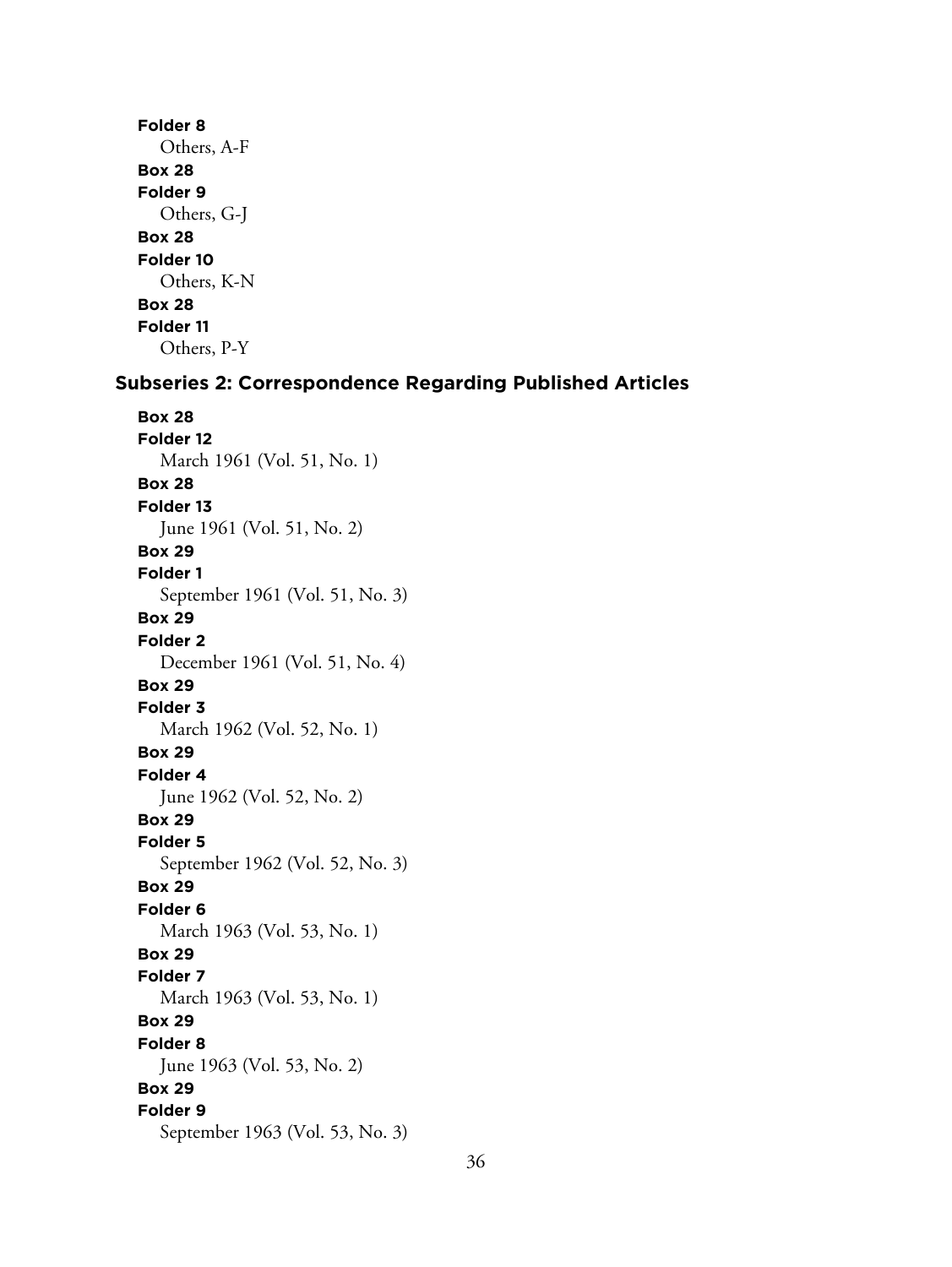# **Folder 8** Others, A-F **Box 28 Folder 9** Others, G-J **Box 28 Folder 10** Others, K-N **Box 28 Folder 11** Others, P-Y

## **Subseries 2: Correspondence Regarding Published Articles**

**Box 28 Folder 12** March 1961 (Vol. 51, No. 1) **Box 28 Folder 13** June 1961 (Vol. 51, No. 2) **Box 29 Folder 1** September 1961 (Vol. 51, No. 3) **Box 29 Folder 2** December 1961 (Vol. 51, No. 4) **Box 29 Folder 3** March 1962 (Vol. 52, No. 1) **Box 29 Folder 4** June 1962 (Vol. 52, No. 2) **Box 29 Folder 5** September 1962 (Vol. 52, No. 3) **Box 29 Folder 6** March 1963 (Vol. 53, No. 1) **Box 29 Folder 7** March 1963 (Vol. 53, No. 1) **Box 29 Folder 8** June 1963 (Vol. 53, No. 2) **Box 29 Folder 9** September 1963 (Vol. 53, No. 3)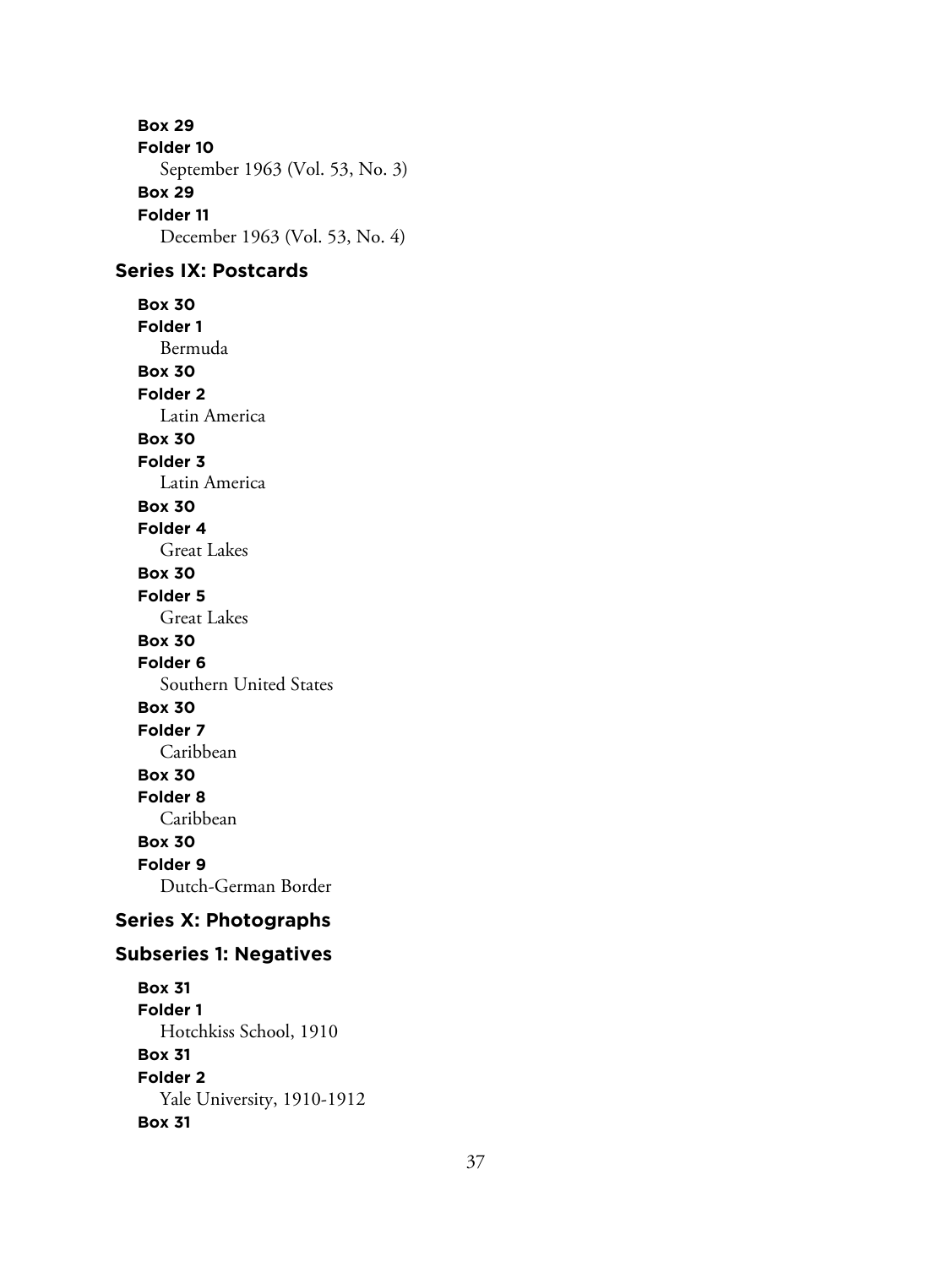**Box 29 Folder 10** September 1963 (Vol. 53, No. 3) **Box 29 Folder 11** December 1963 (Vol. 53, No. 4) **Series IX: Postcards Box 30 Folder 1** Bermuda **Box 30 Folder 2** Latin America **Box 30 Folder 3** Latin America **Box 30 Folder 4** Great Lakes **Box 30 Folder 5** Great Lakes **Box 30 Folder 6** Southern United States **Box 30 Folder 7** Caribbean **Box 30 Folder 8** Caribbean **Box 30 Folder 9** Dutch-German Border **Series X: Photographs Subseries 1: Negatives Box 31 Folder 1** Hotchkiss School, 1910 **Box 31 Folder 2**

Yale University, 1910-1912

**Box 31**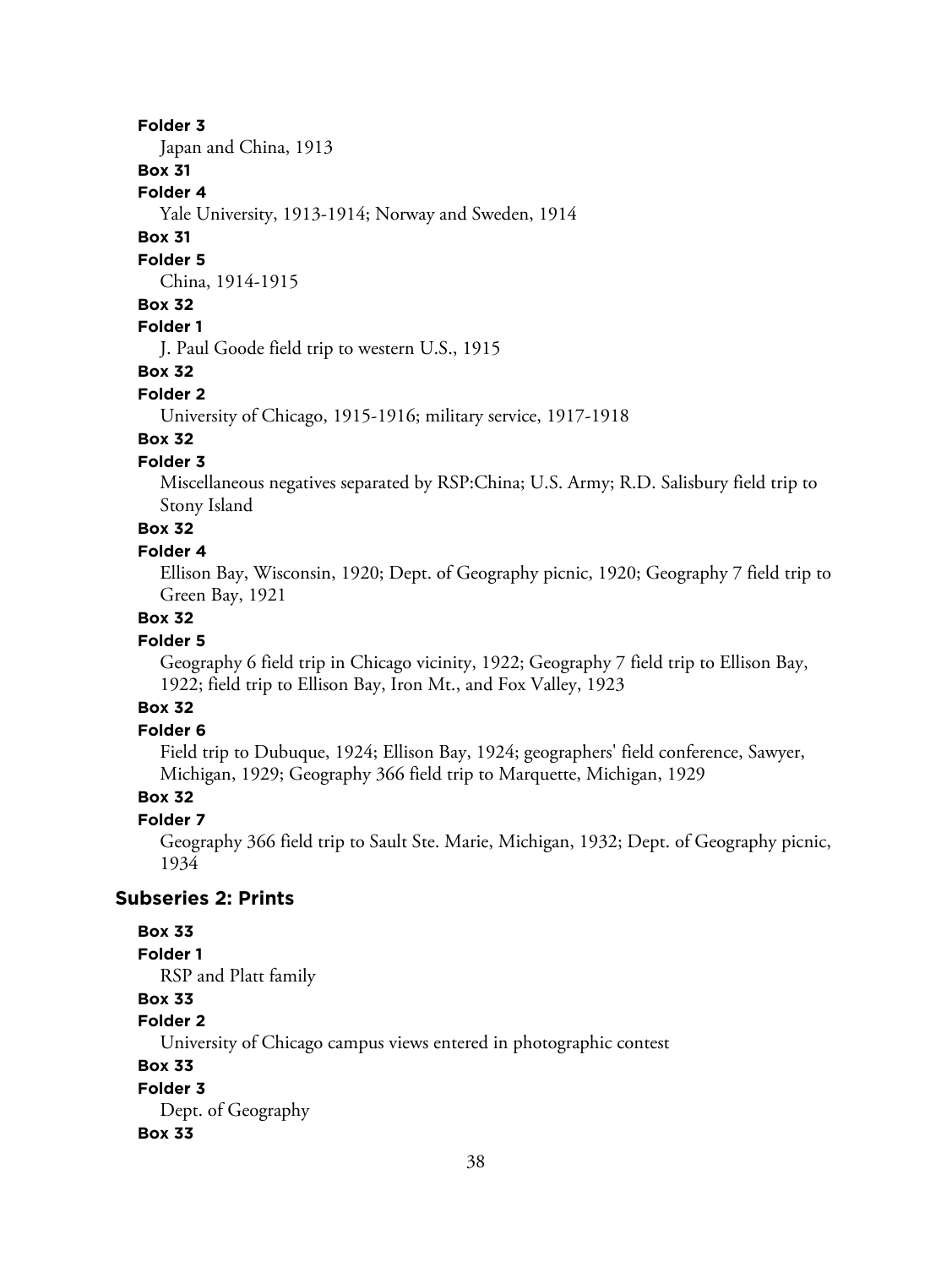#### **Folder 3**

Japan and China, 1913

#### **Box 31**

**Folder 4**

Yale University, 1913-1914; Norway and Sweden, 1914

#### **Box 31**

#### **Folder 5**

China, 1914-1915

# **Box 32**

# **Folder 1**

J. Paul Goode field trip to western U.S., 1915

#### **Box 32**

#### **Folder 2**

University of Chicago, 1915-1916; military service, 1917-1918

# **Box 32**

## **Folder 3**

Miscellaneous negatives separated by RSP:China; U.S. Army; R.D. Salisbury field trip to Stony Island

# **Box 32**

#### **Folder 4**

Ellison Bay, Wisconsin, 1920; Dept. of Geography picnic, 1920; Geography 7 field trip to Green Bay, 1921

#### **Box 32**

#### **Folder 5**

Geography 6 field trip in Chicago vicinity, 1922; Geography 7 field trip to Ellison Bay, 1922; field trip to Ellison Bay, Iron Mt., and Fox Valley, 1923

# **Box 32**

# **Folder 6**

Field trip to Dubuque, 1924; Ellison Bay, 1924; geographers' field conference, Sawyer, Michigan, 1929; Geography 366 field trip to Marquette, Michigan, 1929

## **Box 32**

#### **Folder 7**

Geography 366 field trip to Sault Ste. Marie, Michigan, 1932; Dept. of Geography picnic, 1934

#### **Subseries 2: Prints**

#### **Box 33**

#### **Folder 1**

RSP and Platt family

# **Box 33**

# **Folder 2**

University of Chicago campus views entered in photographic contest

## **Box 33**

#### **Folder 3**

Dept. of Geography

#### **Box 33**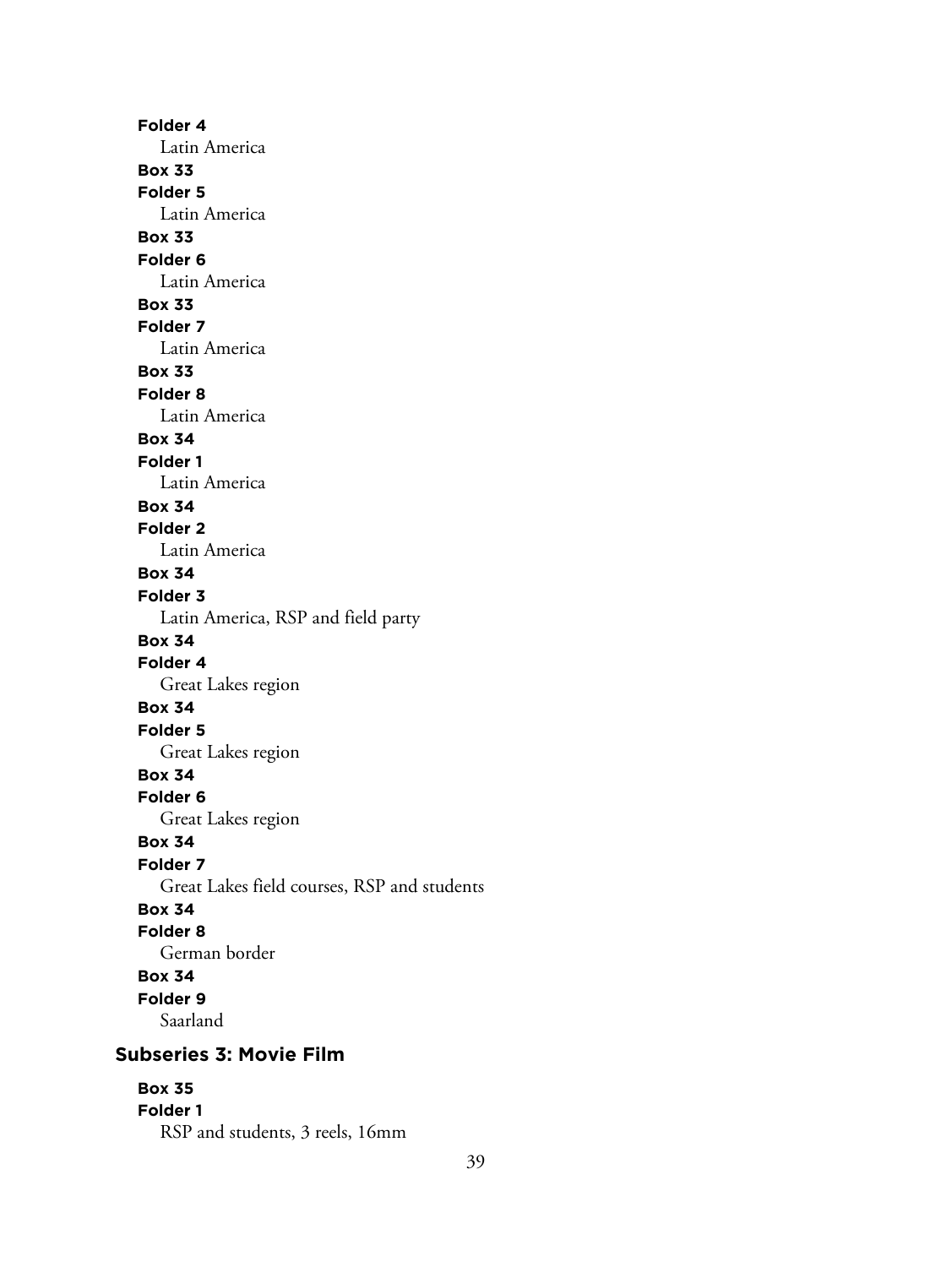**Folder 4** Latin America **Box 33 Folder 5** Latin America **Box 33 Folder 6** Latin America **Box 33 Folder 7** Latin America **Box 33 Folder 8** Latin America **Box 34 Folder 1** Latin America **Box 34 Folder 2** Latin America **Box 34 Folder 3** Latin America, RSP and field party **Box 34 Folder 4** Great Lakes region **Box 34 Folder 5** Great Lakes region **Box 34 Folder 6** Great Lakes region **Box 34 Folder 7** Great Lakes field courses, RSP and students **Box 34 Folder 8** German border **Box 34 Folder 9** Saarland **Subseries 3: Movie Film Box 35**

# **Folder 1**

RSP and students, 3 reels, 16mm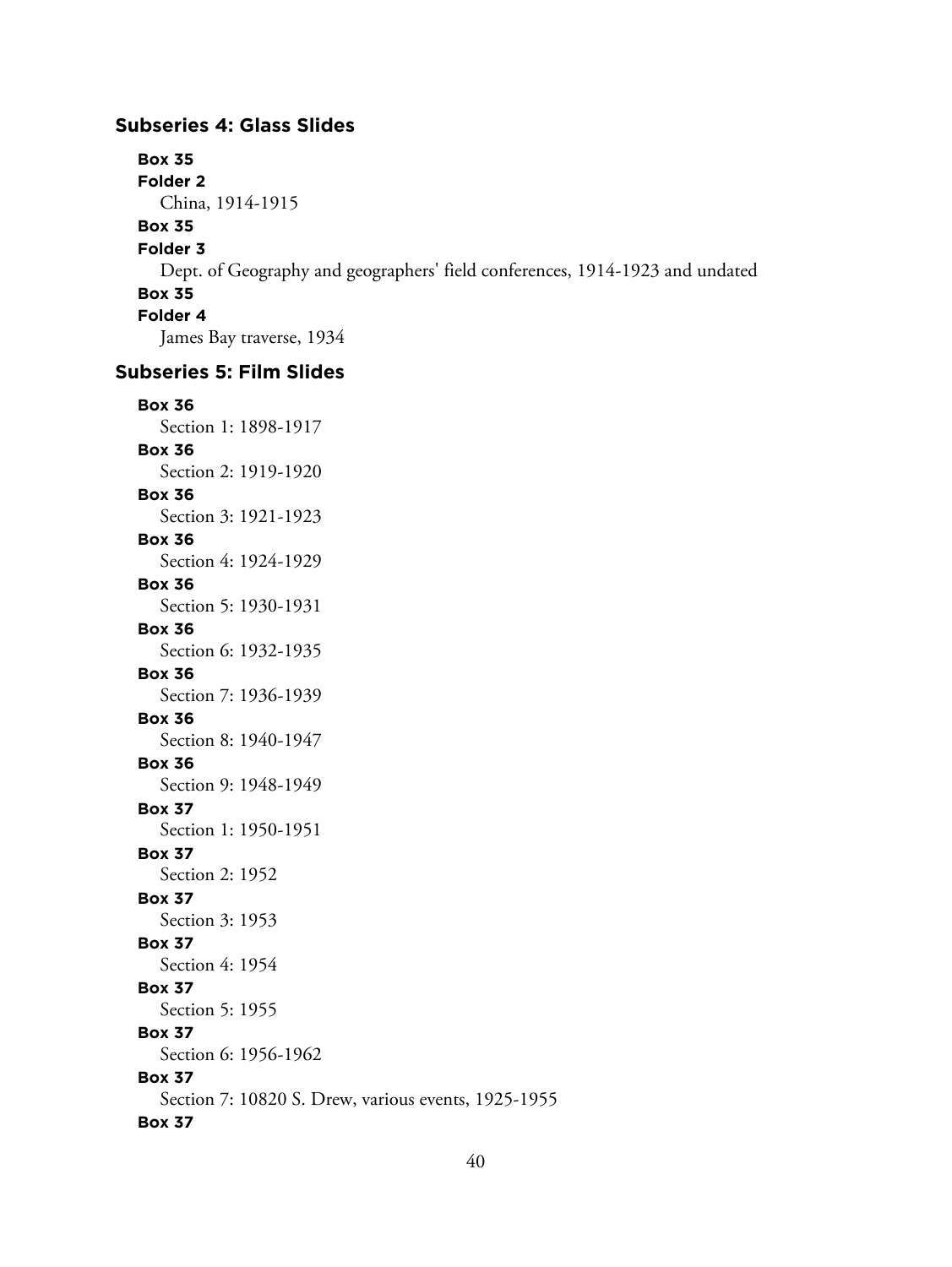#### **Subseries 4: Glass Slides**

**Box 35 Folder 2** China, 1914-1915 **Box 35 Folder 3** Dept. of Geography and geographers' field conferences, 1914-1923 and undated **Box 35 Folder 4** James Bay traverse, 1934 **Subseries 5: Film Slides**

# **Box 36**

Section 1: 1898-1917 **Box 36** Section 2: 1919-1920 **Box 36** Section 3: 1921-1923 **Box 36** Section 4: 1924-1929 **Box 36** Section 5: 1930-1931 **Box 36** Section 6: 1932-1935 **Box 36** Section 7: 1936-1939 **Box 36** Section 8: 1940-1947 **Box 36** Section 9: 1948-1949 **Box 37** Section 1: 1950-1951 **Box 37** Section 2: 1952 **Box 37** Section 3: 1953 **Box 37** Section 4: 1954 **Box 37** Section 5: 1955 **Box 37** Section 6: 1956-1962 **Box 37** Section 7: 10820 S. Drew, various events, 1925-1955 **Box 37**